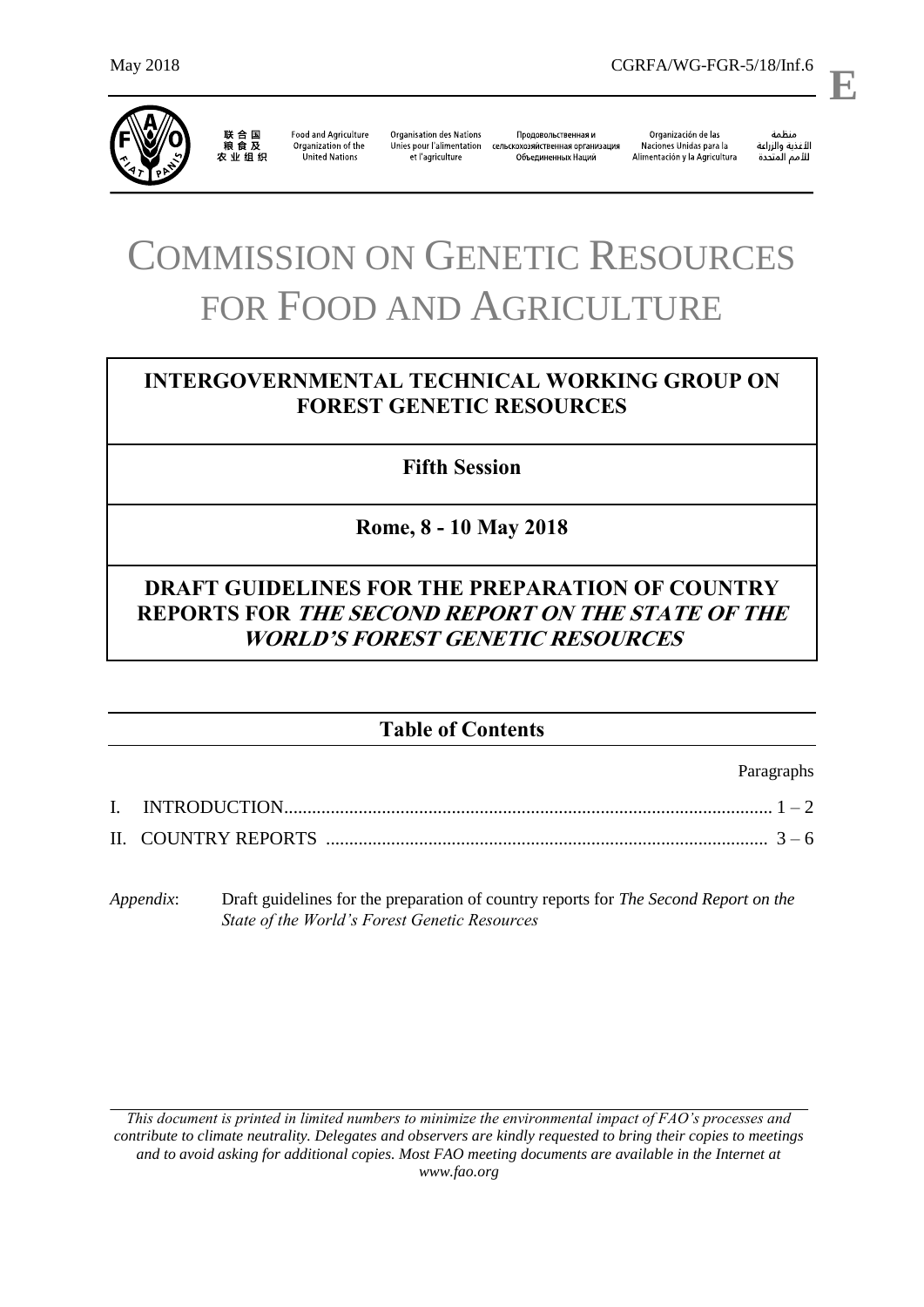

联合国<br>粮食及 

**Food and Agriculture** Organization of the United Nations

**Organisation des Nations** Продовольственная и Unies pour l'alimentation сельскохозяйственная организация et l'agriculture Объединенных Наций

Organización de las Naciones Unidas para la Alimentación y la Agricultura

منظمة ستنسه<br>الأغذية والزراعة<br>للأمم المتددة

l,

**E**

# COMMISSION ON GENETIC RESOURCES FOR FOOD AND AGRICULTURE

# **INTERGOVERNMENTAL TECHNICAL WORKING GROUP ON FOREST GENETIC RESOURCES**

**Fifth Session**

**Rome, 8 - 10 May 2018**

# **DRAFT GUIDELINES FOR THE PREPARATION OF COUNTRY REPORTS FOR THE SECOND REPORT ON THE STATE OF THE WORLD'S FOREST GENETIC RESOURCES**

# **Table of Contents**

Paragraphs

*Appendix*: Draft guidelines for the preparation of country reports for *The Second Report on the State of the World's Forest Genetic Resources*

*This document is printed in limited numbers to minimize the environmental impact of FAO's processes and contribute to climate neutrality. Delegates and observers are kindly requested to bring their copies to meetings and to avoid asking for additional copies. Most FAO meeting documents are available in the Internet at www.fao.org*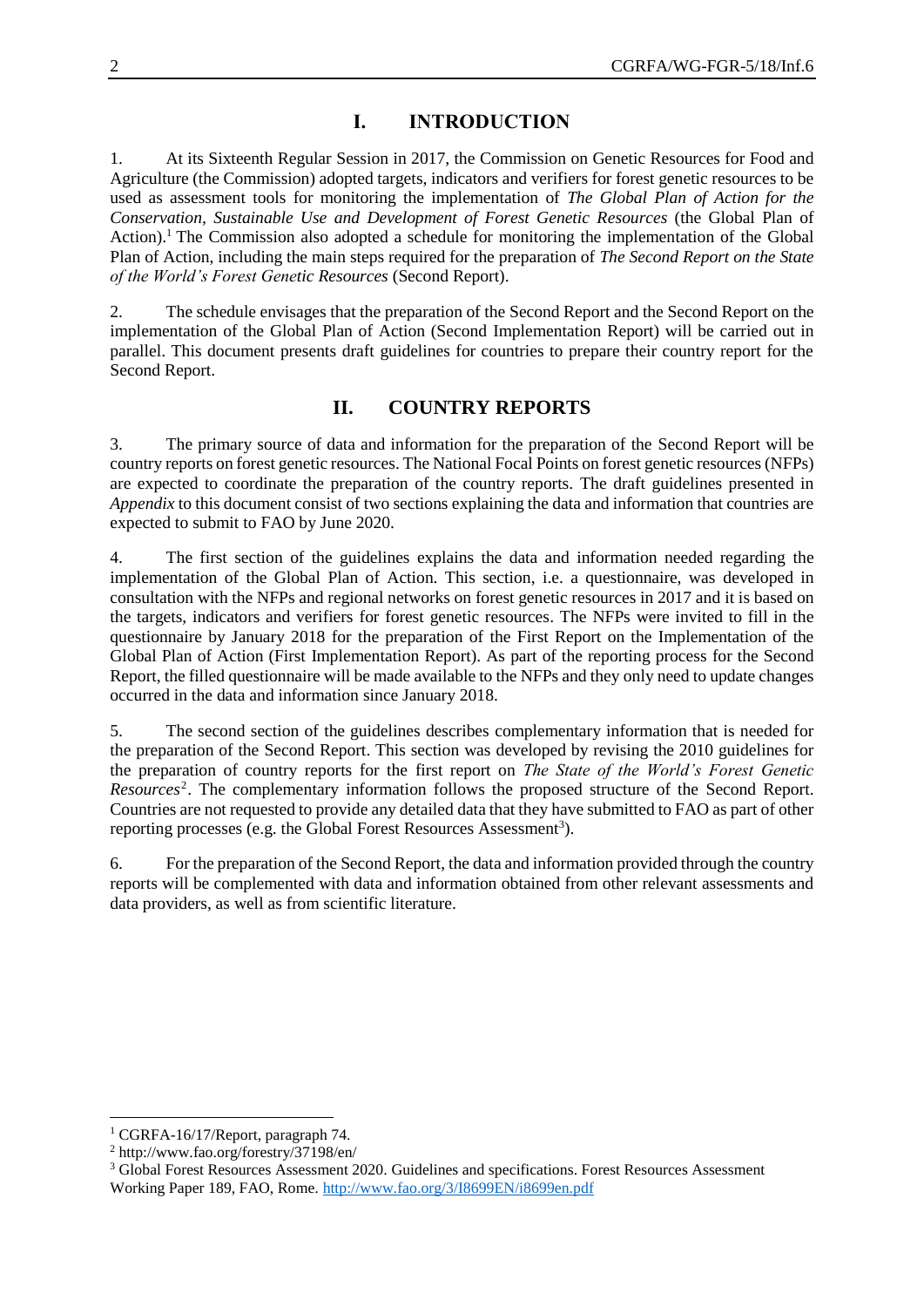# **I. INTRODUCTION**

1. At its Sixteenth Regular Session in 2017, the Commission on Genetic Resources for Food and Agriculture (the Commission) adopted targets, indicators and verifiers for forest genetic resources to be used as assessment tools for monitoring the implementation of *The Global Plan of Action for the Conservation, Sustainable Use and Development of Forest Genetic Resources* (the Global Plan of Action). <sup>1</sup> The Commission also adopted a schedule for monitoring the implementation of the Global Plan of Action, including the main steps required for the preparation of *The Second Report on the State of the World's Forest Genetic Resources* (Second Report).

2. The schedule envisages that the preparation of the Second Report and the Second Report on the implementation of the Global Plan of Action (Second Implementation Report) will be carried out in parallel. This document presents draft guidelines for countries to prepare their country report for the Second Report.

# **II. COUNTRY REPORTS**

3. The primary source of data and information for the preparation of the Second Report will be country reports on forest genetic resources. The National Focal Points on forest genetic resources (NFPs) are expected to coordinate the preparation of the country reports. The draft guidelines presented in *Appendix* to this document consist of two sections explaining the data and information that countries are expected to submit to FAO by June 2020.

4. The first section of the guidelines explains the data and information needed regarding the implementation of the Global Plan of Action. This section, i.e. a questionnaire, was developed in consultation with the NFPs and regional networks on forest genetic resources in 2017 and it is based on the targets, indicators and verifiers for forest genetic resources. The NFPs were invited to fill in the questionnaire by January 2018 for the preparation of the First Report on the Implementation of the Global Plan of Action (First Implementation Report). As part of the reporting process for the Second Report, the filled questionnaire will be made available to the NFPs and they only need to update changes occurred in the data and information since January 2018.

5. The second section of the guidelines describes complementary information that is needed for the preparation of the Second Report. This section was developed by revising the 2010 guidelines for the preparation of country reports for the first report on *The State of the World's Forest Genetic*  Resources<sup>2</sup>. The complementary information follows the proposed structure of the Second Report. Countries are not requested to provide any detailed data that they have submitted to FAO as part of other reporting processes (e.g. the Global Forest Resources Assessment<sup>3</sup>).

6. For the preparation of the Second Report, the data and information provided through the country reports will be complemented with data and information obtained from other relevant assessments and data providers, as well as from scientific literature.

 $\overline{a}$ 

 $1$  CGRFA-16/17/Report, paragraph 74.

<sup>2</sup> http://www.fao.org/forestry/37198/en/

<sup>&</sup>lt;sup>3</sup> Global Forest Resources Assessment 2020. Guidelines and specifications. Forest Resources Assessment Working Paper 189, FAO, Rome.<http://www.fao.org/3/I8699EN/i8699en.pdf>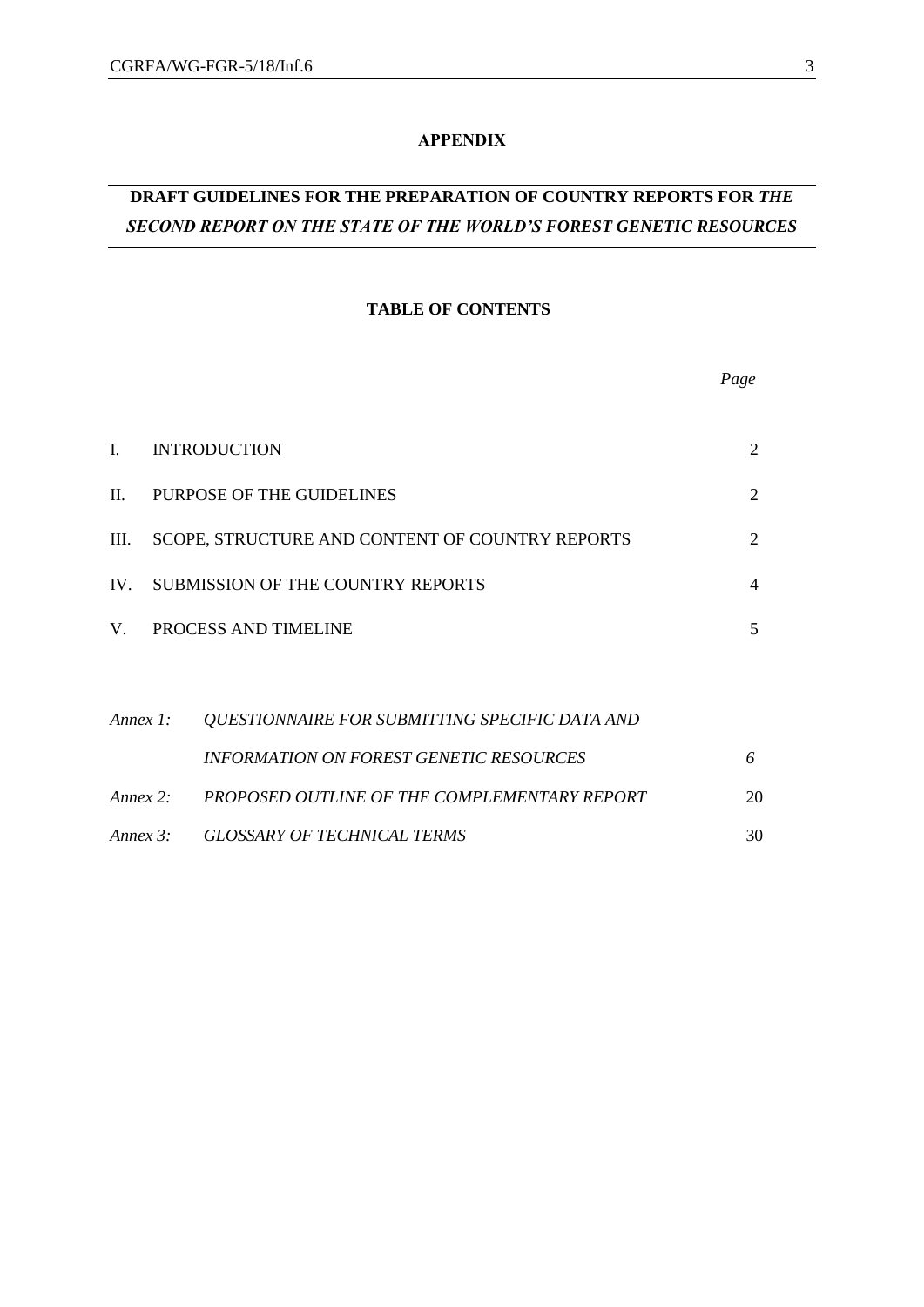# **APPENDIX**

# **DRAFT GUIDELINES FOR THE PREPARATION OF COUNTRY REPORTS FOR** *THE SECOND REPORT ON THE STATE OF THE WORLD'S FOREST GENETIC RESOURCES*

## **TABLE OF CONTENTS**

|                |                                                 | Page           |
|----------------|-------------------------------------------------|----------------|
| $\mathbf{I}$ . | <b>INTRODUCTION</b>                             | 2              |
| $\mathbf{H}$   | PURPOSE OF THE GUIDELINES                       | $\overline{2}$ |
| Ш.             | SCOPE, STRUCTURE AND CONTENT OF COUNTRY REPORTS | 2              |
|                | IV. SUBMISSION OF THE COUNTRY REPORTS           | $\overline{4}$ |
| V.             | PROCESS AND TIMELINE                            | 5              |
|                |                                                 |                |
| Annex $l$ :    | QUESTIONNAIRE FOR SUBMITTING SPECIFIC DATA AND  |                |
|                | <b>INFORMATION ON FOREST GENETIC RESOURCES</b>  | 6              |
| Annex $2$ :    | PROPOSED OUTLINE OF THE COMPLEMENTARY REPORT    | 20             |
|                | Annex 3: GLOSSARY OF TECHNICAL TERMS            | 30             |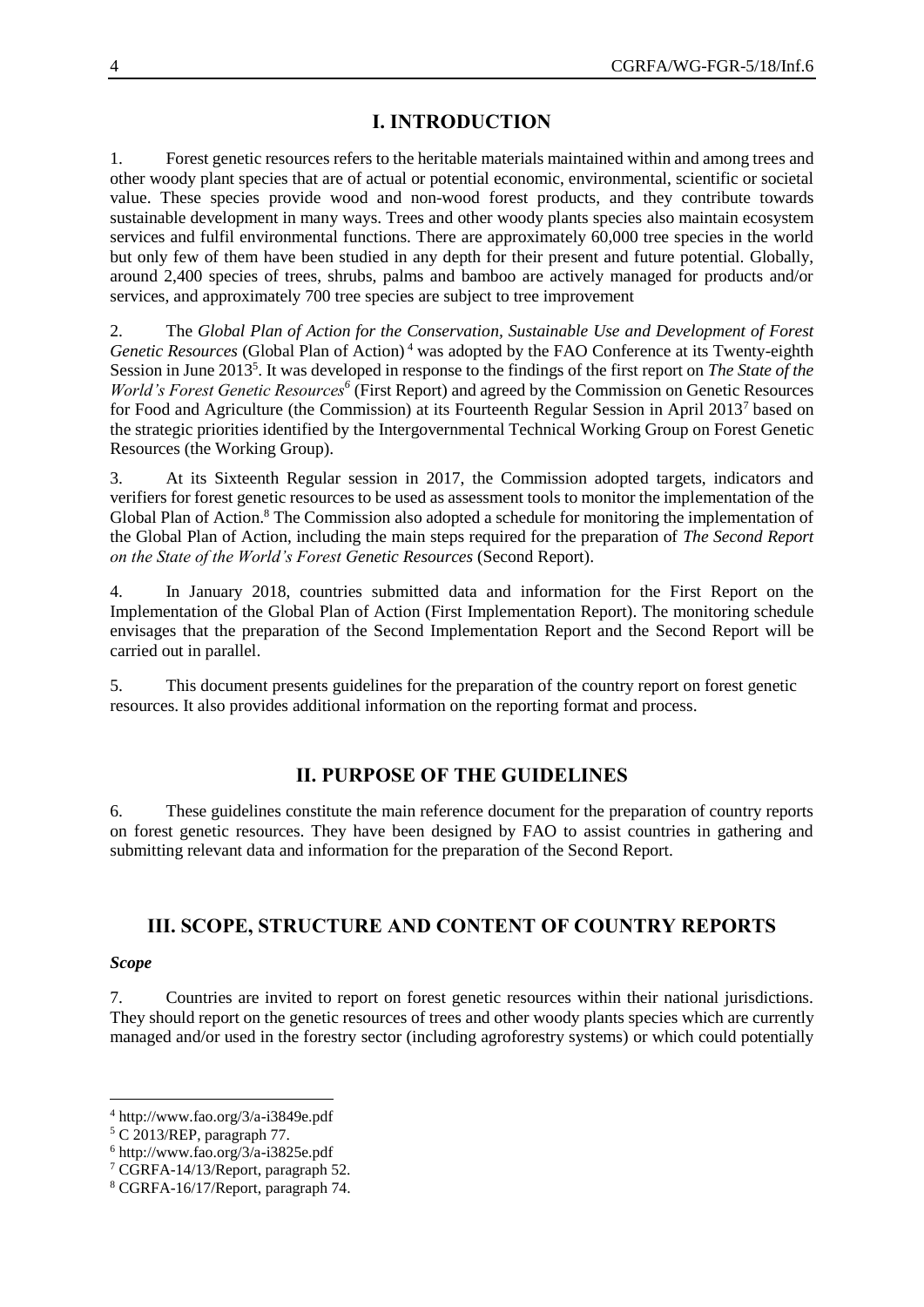# **I. INTRODUCTION**

1. Forest genetic resources refers to the heritable materials maintained within and among trees and other woody plant species that are of actual or potential economic, environmental, scientific or societal value. These species provide wood and non-wood forest products, and they contribute towards sustainable development in many ways. Trees and other woody plants species also maintain ecosystem services and fulfil environmental functions. There are approximately 60,000 tree species in the world but only few of them have been studied in any depth for their present and future potential. Globally, around 2,400 species of trees, shrubs, palms and bamboo are actively managed for products and/or services, and approximately 700 tree species are subject to tree improvement

2. The *Global Plan of Action for the Conservation, Sustainable Use and Development of Forest Genetic Resources* (Global Plan of Action)<sup>4</sup> was adopted by the FAO Conference at its Twenty-eighth Session in June 2013<sup>5</sup>. It was developed in response to the findings of the first report on *The State of the* World's Forest Genetic Resources<sup>6</sup> (First Report) and agreed by the Commission on Genetic Resources for Food and Agriculture (the Commission) at its Fourteenth Regular Session in April 2013<sup>7</sup> based on the strategic priorities identified by the Intergovernmental Technical Working Group on Forest Genetic Resources (the Working Group).

3. At its Sixteenth Regular session in 2017, the Commission adopted targets, indicators and verifiers for forest genetic resources to be used as assessment tools to monitor the implementation of the Global Plan of Action.<sup>8</sup> The Commission also adopted a schedule for monitoring the implementation of the Global Plan of Action, including the main steps required for the preparation of *The Second Report on the State of the World's Forest Genetic Resources* (Second Report).

4. In January 2018, countries submitted data and information for the First Report on the Implementation of the Global Plan of Action (First Implementation Report). The monitoring schedule envisages that the preparation of the Second Implementation Report and the Second Report will be carried out in parallel.

5. This document presents guidelines for the preparation of the country report on forest genetic resources. It also provides additional information on the reporting format and process.

# **II. PURPOSE OF THE GUIDELINES**

6. These guidelines constitute the main reference document for the preparation of country reports on forest genetic resources. They have been designed by FAO to assist countries in gathering and submitting relevant data and information for the preparation of the Second Report.

# **III. SCOPE, STRUCTURE AND CONTENT OF COUNTRY REPORTS**

# *Scope*

l

7. Countries are invited to report on forest genetic resources within their national jurisdictions. They should report on the genetic resources of trees and other woody plants species which are currently managed and/or used in the forestry sector (including agroforestry systems) or which could potentially

<sup>4</sup> http://www.fao.org/3/a-i3849e.pdf

<sup>5</sup> C 2013/REP, paragraph 77.

 $6$  http://www.fao.org/3/a-i3825e.pdf

<sup>7</sup> CGRFA-14/13/Report, paragraph 52.

<sup>8</sup> CGRFA-16/17/Report, paragraph 74.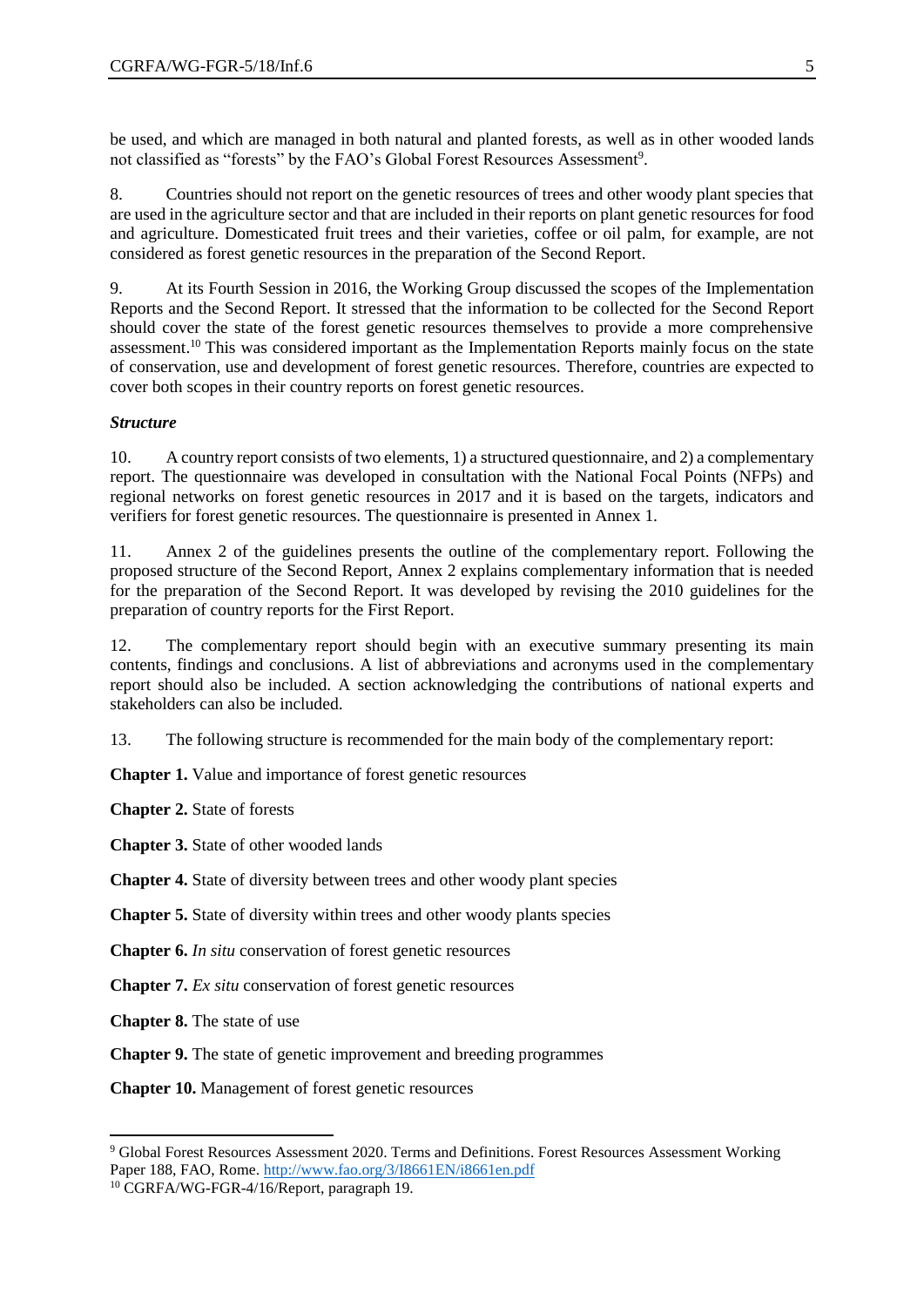be used, and which are managed in both natural and planted forests, as well as in other wooded lands not classified as "forests" by the FAO's Global Forest Resources Assessment<sup>9</sup>.

8. Countries should not report on the genetic resources of trees and other woody plant species that are used in the agriculture sector and that are included in their reports on plant genetic resources for food and agriculture. Domesticated fruit trees and their varieties, coffee or oil palm, for example, are not considered as forest genetic resources in the preparation of the Second Report.

9. At its Fourth Session in 2016, the Working Group discussed the scopes of the Implementation Reports and the Second Report. It stressed that the information to be collected for the Second Report should cover the state of the forest genetic resources themselves to provide a more comprehensive assessment.<sup>10</sup> This was considered important as the Implementation Reports mainly focus on the state of conservation, use and development of forest genetic resources. Therefore, countries are expected to cover both scopes in their country reports on forest genetic resources.

# *Structure*

10. A country report consists of two elements, 1) a structured questionnaire, and 2) a complementary report. The questionnaire was developed in consultation with the National Focal Points (NFPs) and regional networks on forest genetic resources in 2017 and it is based on the targets, indicators and verifiers for forest genetic resources. The questionnaire is presented in Annex 1.

11. Annex 2 of the guidelines presents the outline of the complementary report. Following the proposed structure of the Second Report, Annex 2 explains complementary information that is needed for the preparation of the Second Report. It was developed by revising the 2010 guidelines for the preparation of country reports for the First Report.

12. The complementary report should begin with an executive summary presenting its main contents, findings and conclusions. A list of abbreviations and acronyms used in the complementary report should also be included. A section acknowledging the contributions of national experts and stakeholders can also be included.

13. The following structure is recommended for the main body of the complementary report:

**Chapter 1.** Value and importance of forest genetic resources

**Chapter 2.** State of forests

**Chapter 3.** State of other wooded lands

**Chapter 4.** State of diversity between trees and other woody plant species

**Chapter 5.** State of diversity within trees and other woody plants species

**Chapter 6.** *In situ* conservation of forest genetic resources

**Chapter 7.** *Ex situ* conservation of forest genetic resources

**Chapter 8.** The state of use

l

**Chapter 9.** The state of genetic improvement and breeding programmes

**Chapter 10.** Management of forest genetic resources

<sup>9</sup> Global Forest Resources Assessment 2020. Terms and Definitions. Forest Resources Assessment Working Paper 188, FAO, Rome.<http://www.fao.org/3/I8661EN/i8661en.pdf>

<sup>&</sup>lt;sup>10</sup> CGRFA/WG-FGR-4/16/Report, paragraph 19.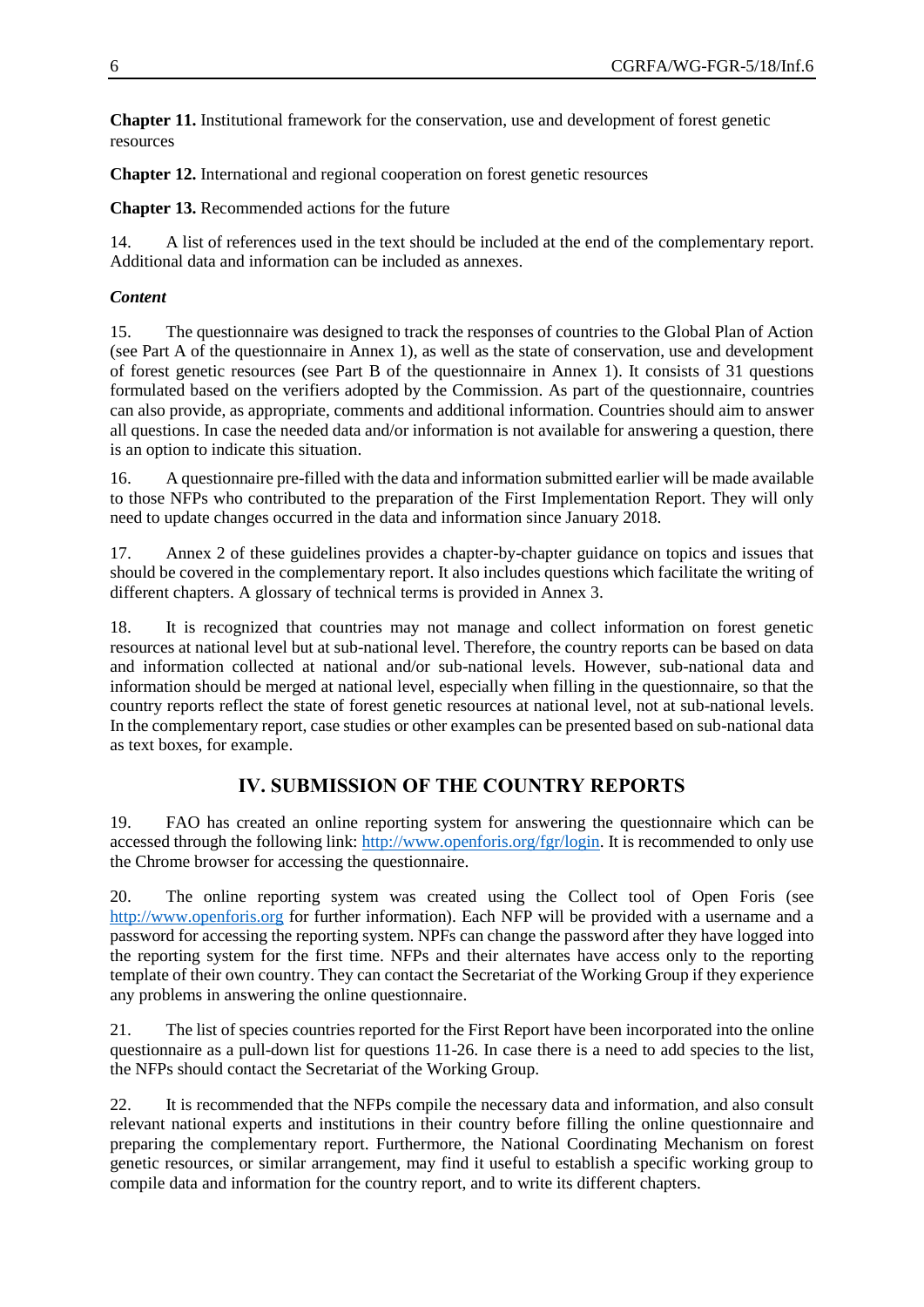**Chapter 11.** Institutional framework for the conservation, use and development of forest genetic resources

**Chapter 12.** International and regional cooperation on forest genetic resources

**Chapter 13.** Recommended actions for the future

14. A list of references used in the text should be included at the end of the complementary report. Additional data and information can be included as annexes.

# *Content*

15. The questionnaire was designed to track the responses of countries to the Global Plan of Action (see Part A of the questionnaire in Annex 1), as well as the state of conservation, use and development of forest genetic resources (see Part B of the questionnaire in Annex 1). It consists of 31 questions formulated based on the verifiers adopted by the Commission. As part of the questionnaire, countries can also provide, as appropriate, comments and additional information. Countries should aim to answer all questions. In case the needed data and/or information is not available for answering a question, there is an option to indicate this situation.

16. A questionnaire pre-filled with the data and information submitted earlier will be made available to those NFPs who contributed to the preparation of the First Implementation Report. They will only need to update changes occurred in the data and information since January 2018.

17. Annex 2 of these guidelines provides a chapter-by-chapter guidance on topics and issues that should be covered in the complementary report. It also includes questions which facilitate the writing of different chapters. A glossary of technical terms is provided in Annex 3.

18. It is recognized that countries may not manage and collect information on forest genetic resources at national level but at sub-national level. Therefore, the country reports can be based on data and information collected at national and/or sub-national levels. However, sub-national data and information should be merged at national level, especially when filling in the questionnaire, so that the country reports reflect the state of forest genetic resources at national level, not at sub-national levels. In the complementary report, case studies or other examples can be presented based on sub-national data as text boxes, for example.

# **IV. SUBMISSION OF THE COUNTRY REPORTS**

19. FAO has created an online reporting system for answering the questionnaire which can be accessed through the following link: [http://www.openforis.org/fgr/login.](http://www.openforis.org/fgr/login) It is recommended to only use the Chrome browser for accessing the questionnaire.

20. The online reporting system was created using the Collect tool of Open Foris (see [http://www.openforis.org](http://www.openforis.org/) for further information). Each NFP will be provided with a username and a password for accessing the reporting system. NPFs can change the password after they have logged into the reporting system for the first time. NFPs and their alternates have access only to the reporting template of their own country. They can contact the Secretariat of the Working Group if they experience any problems in answering the online questionnaire.

21. The list of species countries reported for the First Report have been incorporated into the online questionnaire as a pull-down list for questions 11-26. In case there is a need to add species to the list, the NFPs should contact the Secretariat of the Working Group.

22. It is recommended that the NFPs compile the necessary data and information, and also consult relevant national experts and institutions in their country before filling the online questionnaire and preparing the complementary report. Furthermore, the National Coordinating Mechanism on forest genetic resources, or similar arrangement, may find it useful to establish a specific working group to compile data and information for the country report, and to write its different chapters.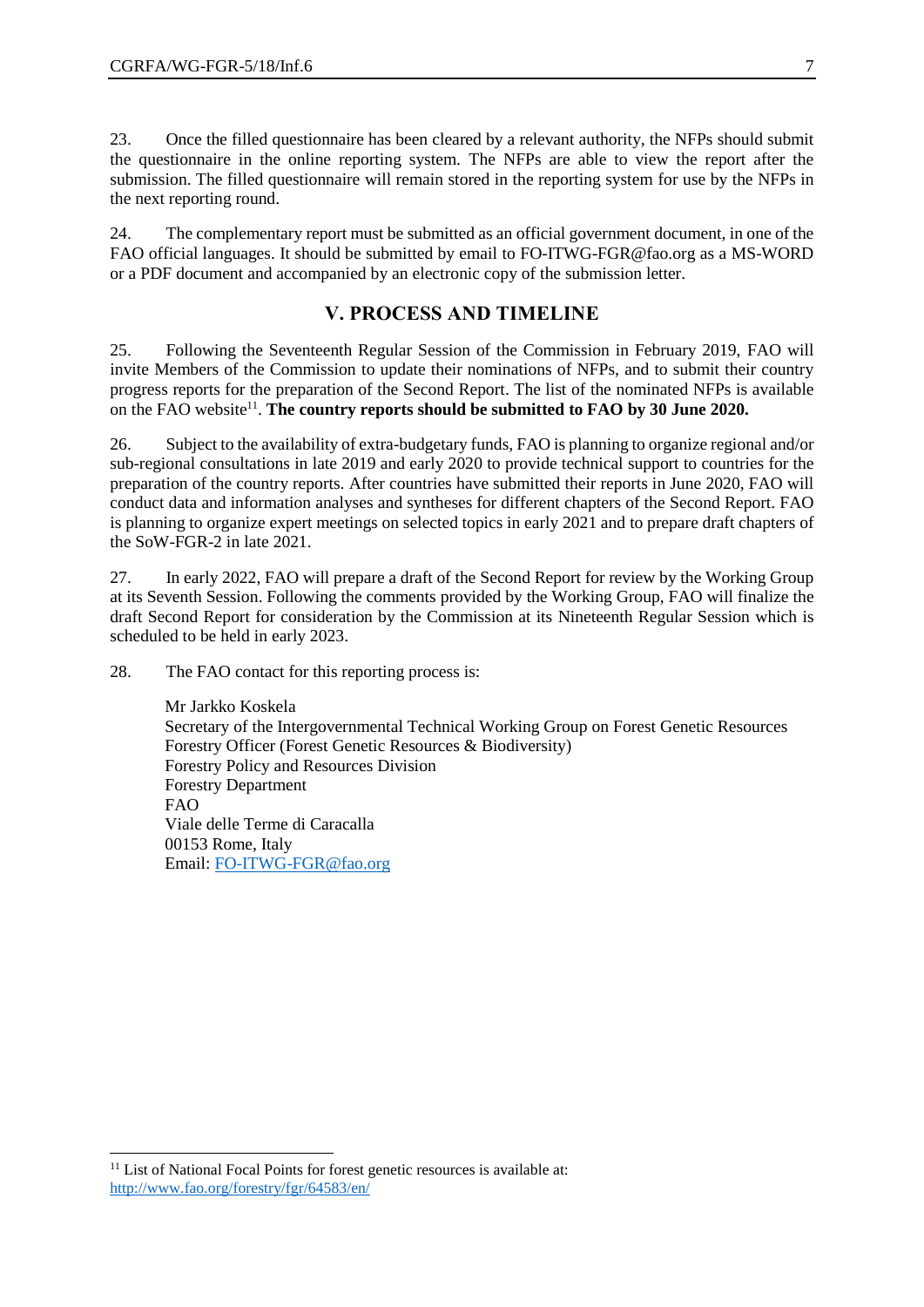23. Once the filled questionnaire has been cleared by a relevant authority, the NFPs should submit the questionnaire in the online reporting system. The NFPs are able to view the report after the submission. The filled questionnaire will remain stored in the reporting system for use by the NFPs in the next reporting round.

24. The complementary report must be submitted as an official government document, in one of the FAO official languages. It should be submitted by email to FO-ITWG-FGR@fao.org as a MS-WORD or a PDF document and accompanied by an electronic copy of the submission letter.

# **V. PROCESS AND TIMELINE**

25. Following the Seventeenth Regular Session of the Commission in February 2019, FAO will invite Members of the Commission to update their nominations of NFPs, and to submit their country progress reports for the preparation of the Second Report. The list of the nominated NFPs is available on the FAO website<sup>11</sup>. **The country reports should be submitted to FAO by 30 June 2020.** 

26. Subject to the availability of extra-budgetary funds, FAO is planning to organize regional and/or sub-regional consultations in late 2019 and early 2020 to provide technical support to countries for the preparation of the country reports. After countries have submitted their reports in June 2020, FAO will conduct data and information analyses and syntheses for different chapters of the Second Report. FAO is planning to organize expert meetings on selected topics in early 2021 and to prepare draft chapters of the SoW-FGR-2 in late 2021.

27. In early 2022, FAO will prepare a draft of the Second Report for review by the Working Group at its Seventh Session. Following the comments provided by the Working Group, FAO will finalize the draft Second Report for consideration by the Commission at its Nineteenth Regular Session which is scheduled to be held in early 2023.

28. The FAO contact for this reporting process is:

Mr Jarkko Koskela Secretary of the Intergovernmental Technical Working Group on Forest Genetic Resources Forestry Officer (Forest Genetic Resources & Biodiversity) Forestry Policy and Resources Division Forestry Department FAO Viale delle Terme di Caracalla 00153 Rome, Italy Email: [FO-ITWG-FGR@fao.org](mailto:FO-ITWG-FGR@fao.org)

l

<sup>&</sup>lt;sup>11</sup> List of National Focal Points for forest genetic resources is available at: <http://www.fao.org/forestry/fgr/64583/en/>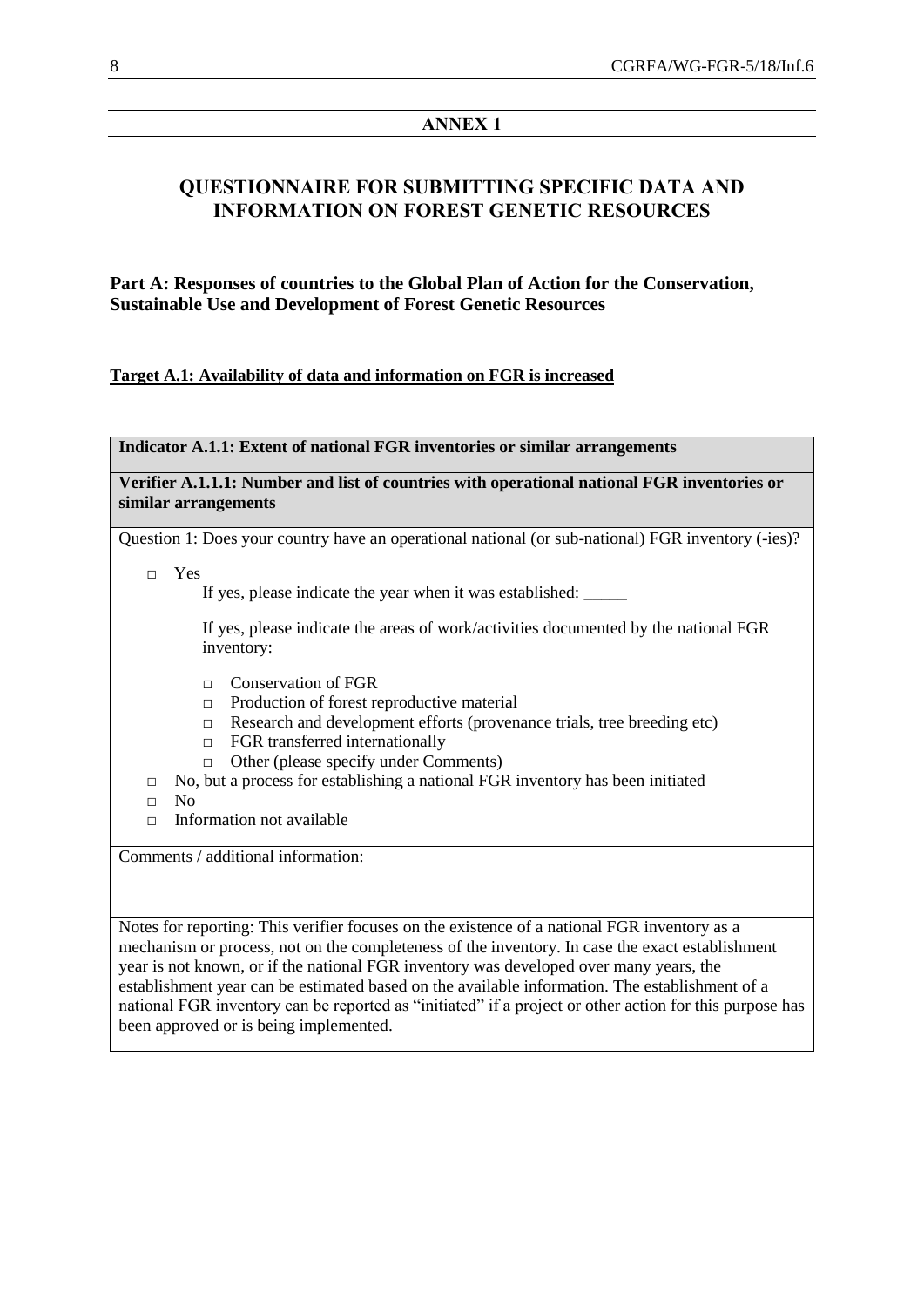# **ANNEX 1**

# **QUESTIONNAIRE FOR SUBMITTING SPECIFIC DATA AND INFORMATION ON FOREST GENETIC RESOURCES**

**Part A: Responses of countries to the Global Plan of Action for the Conservation, Sustainable Use and Development of Forest Genetic Resources**

# **Target A.1: Availability of data and information on FGR is increased**

| Indicator A.1.1: Extent of national FGR inventories or similar arrangements                                         |
|---------------------------------------------------------------------------------------------------------------------|
| Verifier A.1.1.1: Number and list of countries with operational national FGR inventories or<br>similar arrangements |
| Question 1: Does your country have an operational national (or sub-national) FGR inventory (-ies)?                  |
| Yes<br>$\Box$<br>If yes, please indicate the year when it was established: ______                                   |
| If yes, please indicate the areas of work/activities documented by the national FGR<br>inventory:                   |
| <b>Conservation of FGR</b><br>$\Box$                                                                                |
| Production of forest reproductive material<br>$\Box$                                                                |
| Research and development efforts (provenance trials, tree breeding etc)<br>$\Box$                                   |
| FGR transferred internationally<br>$\Box$                                                                           |
| Other (please specify under Comments)<br>$\Box$                                                                     |
| No, but a process for establishing a national FGR inventory has been initiated<br>$\Box$                            |
| N <sub>0</sub><br>$\Box$                                                                                            |
| Information not available<br>$\Box$                                                                                 |
| Comments / additional information:                                                                                  |

Notes for reporting: This verifier focuses on the existence of a national FGR inventory as a mechanism or process, not on the completeness of the inventory. In case the exact establishment year is not known, or if the national FGR inventory was developed over many years, the establishment year can be estimated based on the available information. The establishment of a national FGR inventory can be reported as "initiated" if a project or other action for this purpose has been approved or is being implemented.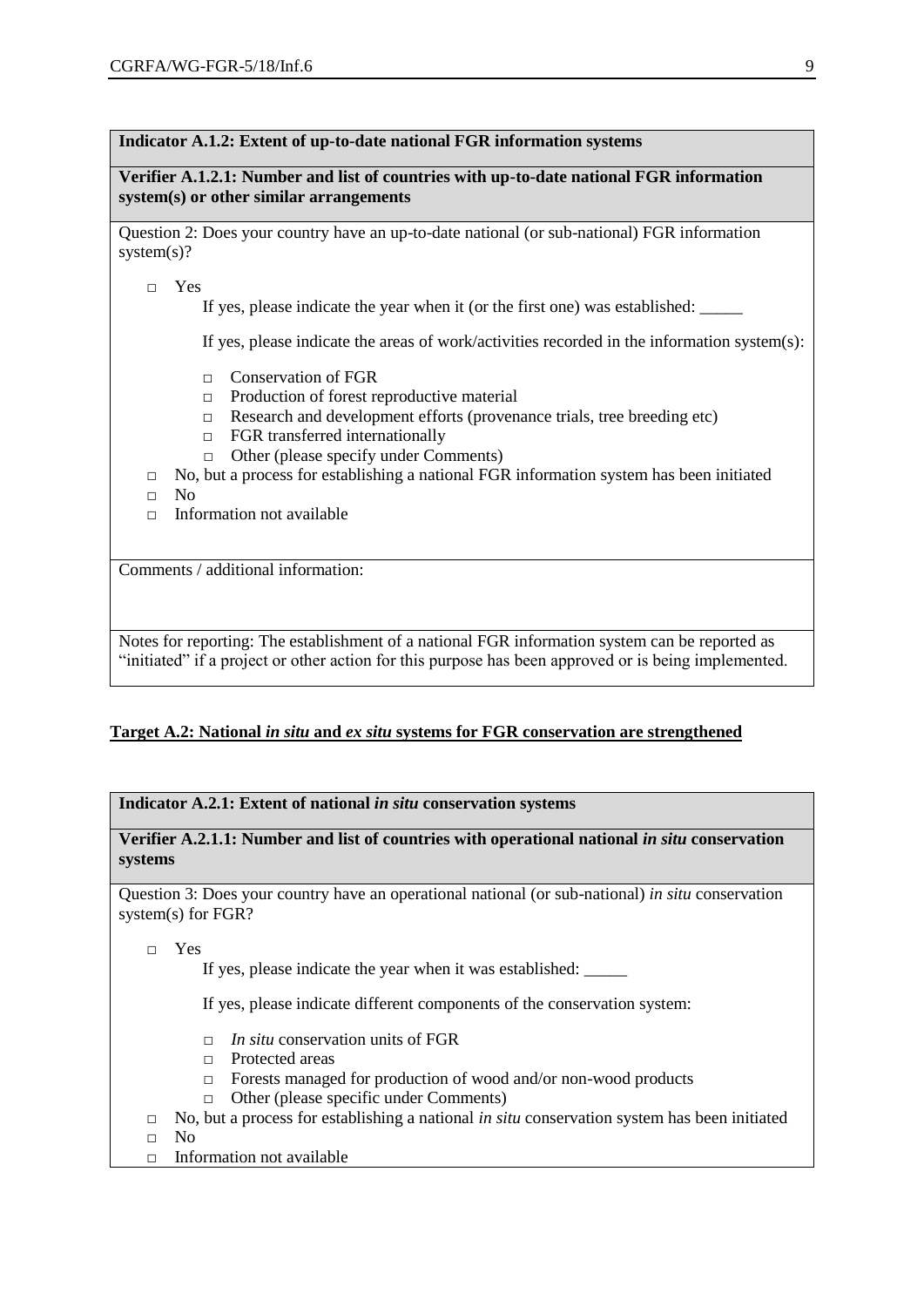## **Indicator A.1.2: Extent of up-to-date national FGR information systems**

**Verifier A.1.2.1: Number and list of countries with up-to-date national FGR information system(s) or other similar arrangements**

Question 2: Does your country have an up-to-date national (or sub-national) FGR information system(s)?

□ Yes

If yes, please indicate the year when it (or the first one) was established:

If yes, please indicate the areas of work/activities recorded in the information system(s):

- □ Conservation of FGR
- □ Production of forest reproductive material
- □ Research and development efforts (provenance trials, tree breeding etc)
- □ FGR transferred internationally
- □ Other (please specify under Comments)
- $\Box$  No, but a process for establishing a national FGR information system has been initiated
- □ No
- $\Box$  Information not available

Comments / additional information:

Notes for reporting: The establishment of a national FGR information system can be reported as "initiated" if a project or other action for this purpose has been approved or is being implemented.

# **Target A.2: National** *in situ* **and** *ex situ* **systems for FGR conservation are strengthened**

## **Indicator A.2.1: Extent of national** *in situ* **conservation systems**

**Verifier A.2.1.1: Number and list of countries with operational national** *in situ* **conservation systems**

Question 3: Does your country have an operational national (or sub-national) *in situ* conservation system(s) for FGR?

□ Yes

If yes, please indicate the year when it was established:

If yes, please indicate different components of the conservation system:

- □ *In situ* conservation units of FGR
- □ Protected areas
- □ Forests managed for production of wood and/or non-wood products
- □ Other (please specific under Comments)
- □ No, but a process for establishing a national *in situ* conservation system has been initiated
- □ No
- □ Information not available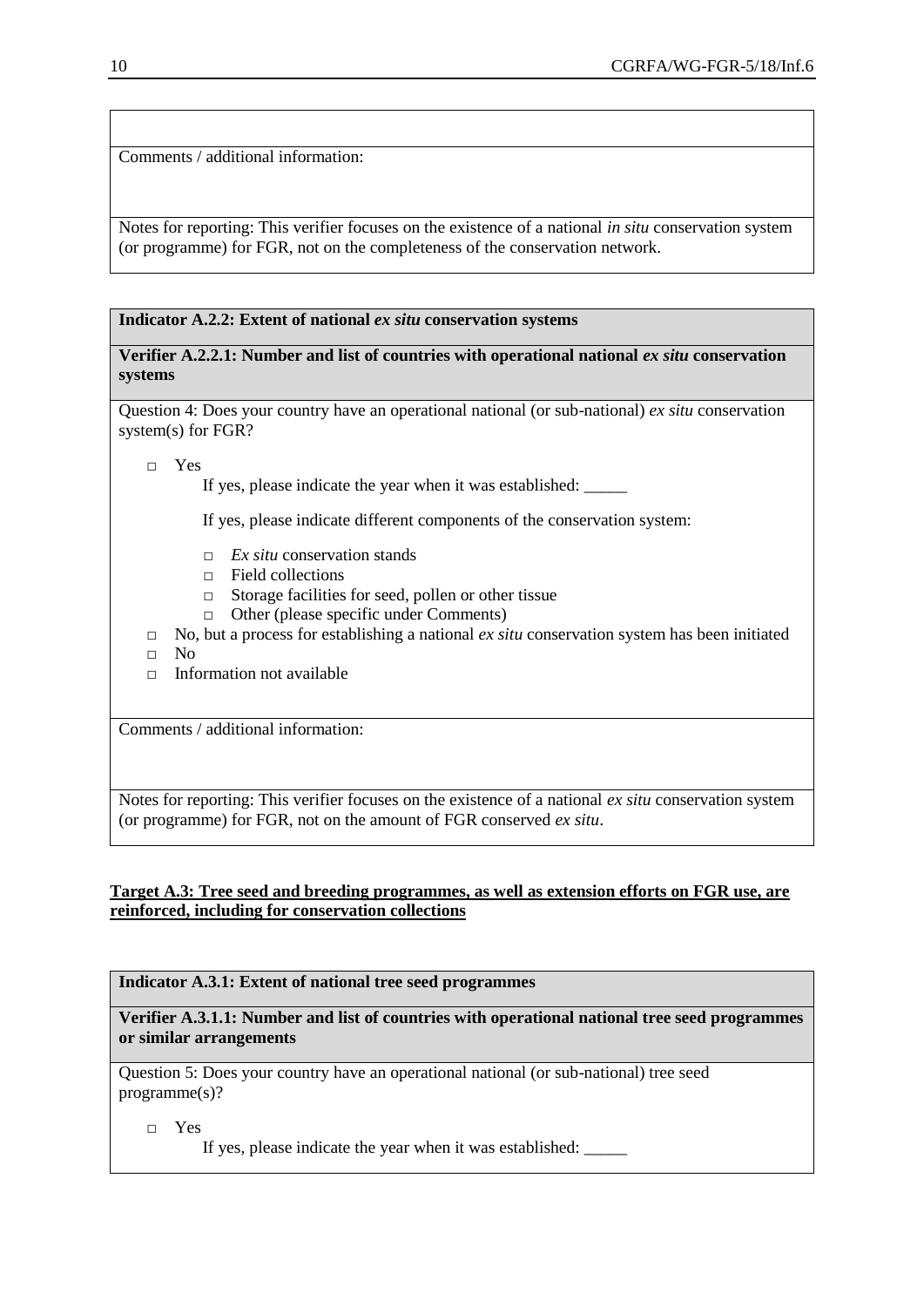Comments / additional information:

Notes for reporting: This verifier focuses on the existence of a national *in situ* conservation system (or programme) for FGR, not on the completeness of the conservation network.

# **Indicator A.2.2: Extent of national** *ex situ* **conservation systems**

## **Verifier A.2.2.1: Number and list of countries with operational national** *ex situ* **conservation systems**

Question 4: Does your country have an operational national (or sub-national) *ex situ* conservation system(s) for FGR?

□ Yes

If yes, please indicate the year when it was established:

If yes, please indicate different components of the conservation system:

- □ *Ex situ* conservation stands
- □ Field collections
- □ Storage facilities for seed, pollen or other tissue
- □ Other (please specific under Comments)
- □ No, but a process for establishing a national *ex situ* conservation system has been initiated
- $\neg$  No
- $\Box$  Information not available

Comments / additional information:

Notes for reporting: This verifier focuses on the existence of a national *ex situ* conservation system (or programme) for FGR, not on the amount of FGR conserved *ex situ*.

## **Target A.3: Tree seed and breeding programmes, as well as extension efforts on FGR use, are reinforced, including for conservation collections**

**Indicator A.3.1: Extent of national tree seed programmes**

**Verifier A.3.1.1: Number and list of countries with operational national tree seed programmes or similar arrangements**

Question 5: Does your country have an operational national (or sub-national) tree seed programme(s)?

□ Yes

If yes, please indicate the year when it was established: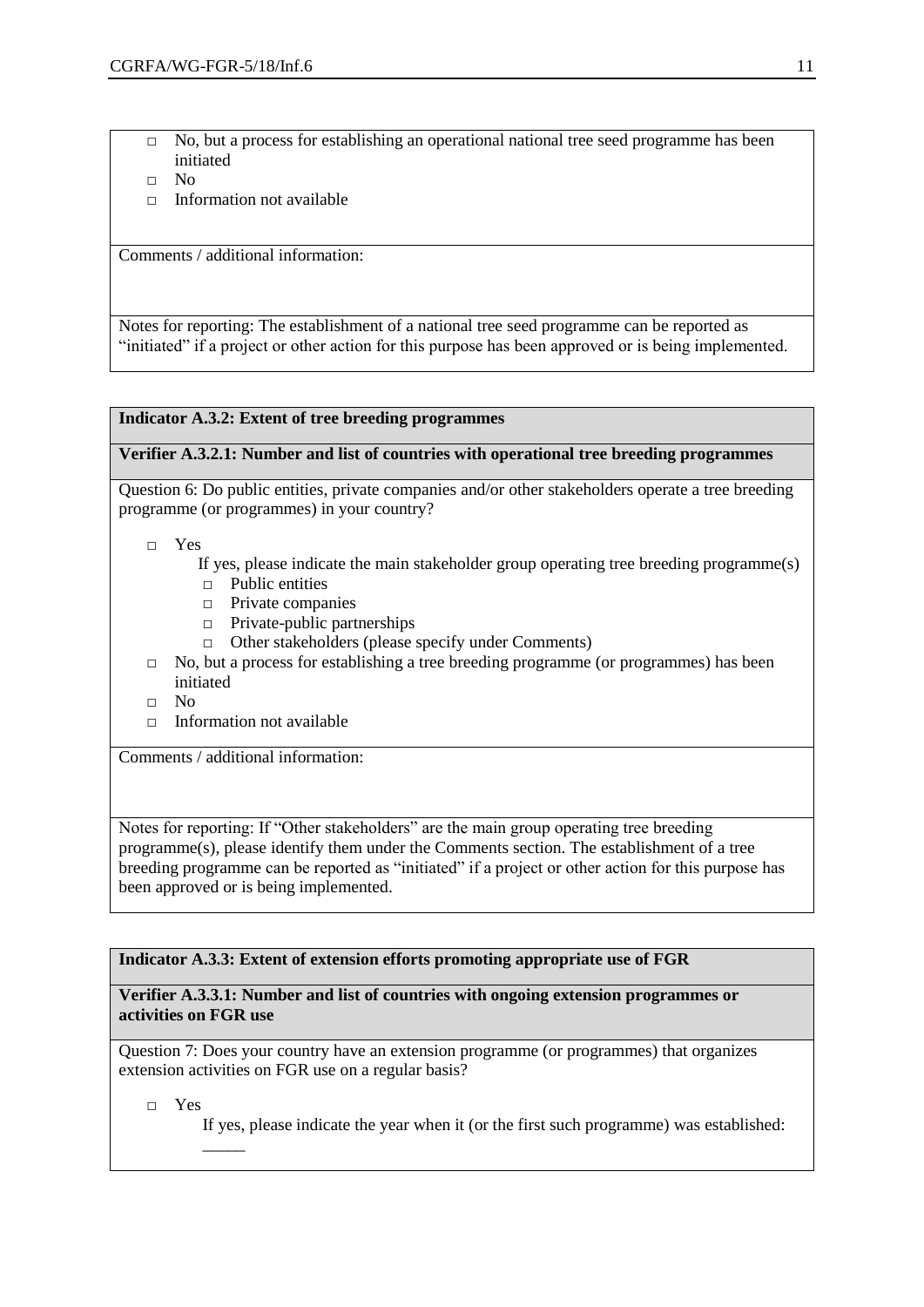- □ No, but a process for establishing an operational national tree seed programme has been initiated
- □ No
- $\Box$  Information not available

Comments / additional information:

Notes for reporting: The establishment of a national tree seed programme can be reported as "initiated" if a project or other action for this purpose has been approved or is being implemented.

# **Indicator A.3.2: Extent of tree breeding programmes**

#### **Verifier A.3.2.1: Number and list of countries with operational tree breeding programmes**

Question 6: Do public entities, private companies and/or other stakeholders operate a tree breeding programme (or programmes) in your country?

- □ Yes
	- If yes, please indicate the main stakeholder group operating tree breeding programme(s)
	- □ Public entities
	- □ Private companies
	- □ Private-public partnerships
	- □ Other stakeholders (please specify under Comments)
- $\Box$  No, but a process for establishing a tree breeding programme (or programmes) has been initiated
- □ No
- □ Information not available

Comments / additional information:

Notes for reporting: If "Other stakeholders" are the main group operating tree breeding programme(s), please identify them under the Comments section. The establishment of a tree breeding programme can be reported as "initiated" if a project or other action for this purpose has been approved or is being implemented.

## **Indicator A.3.3: Extent of extension efforts promoting appropriate use of FGR**

#### **Verifier A.3.3.1: Number and list of countries with ongoing extension programmes or activities on FGR use**

Question 7: Does your country have an extension programme (or programmes) that organizes extension activities on FGR use on a regular basis?

□ Yes

 $\overline{\phantom{a}}$ 

If yes, please indicate the year when it (or the first such programme) was established: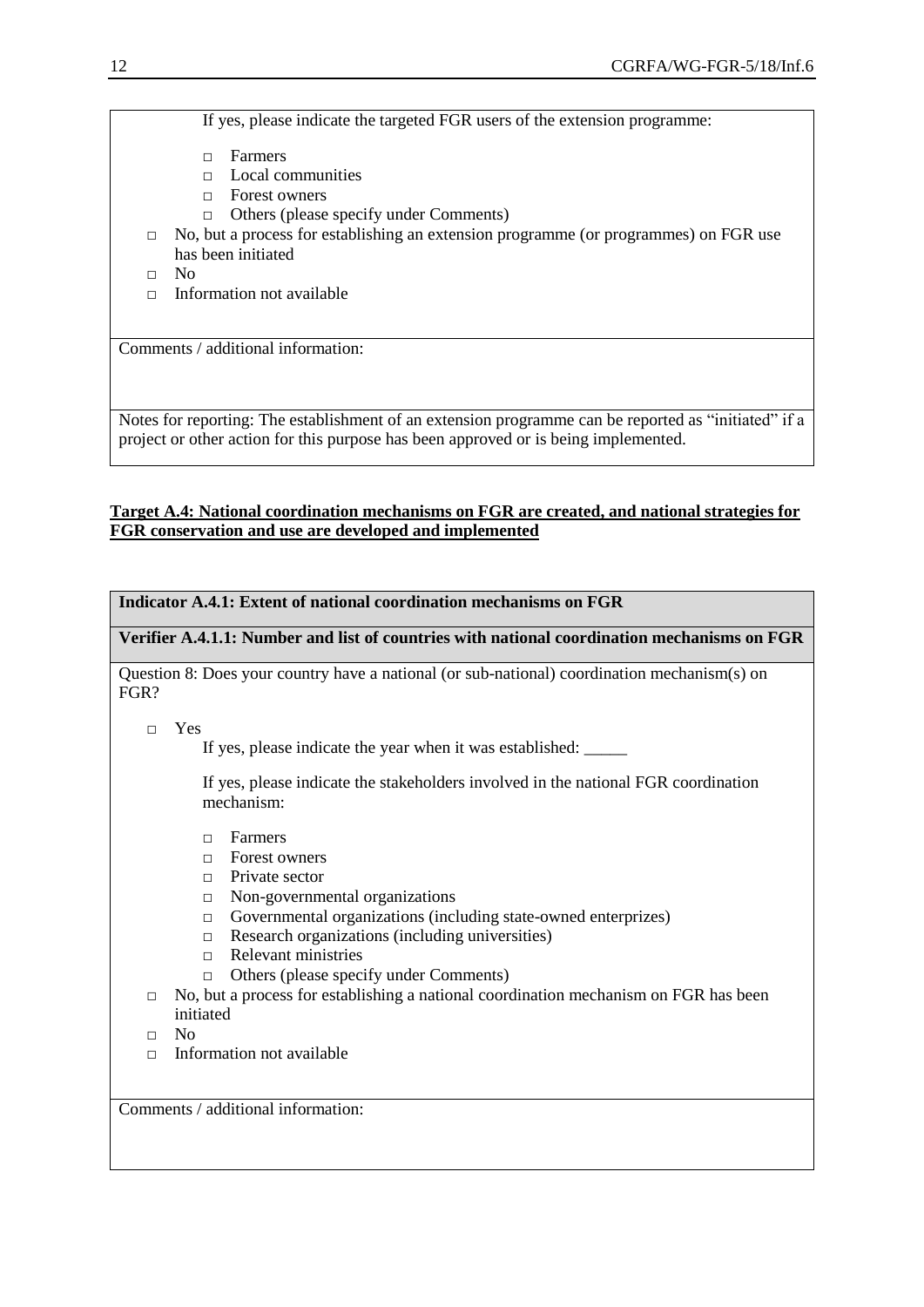If yes, please indicate the targeted FGR users of the extension programme:

- □ Farmers
- □ Local communities
- □ Forest owners
- □ Others (please specify under Comments)
- $\Box$  No, but a process for establishing an extension programme (or programmes) on FGR use has been initiated
- □ No
- $\Box$  Information not available

Comments / additional information:

Notes for reporting: The establishment of an extension programme can be reported as "initiated" if a project or other action for this purpose has been approved or is being implemented.

# **Target A.4: National coordination mechanisms on FGR are created, and national strategies for FGR conservation and use are developed and implemented**

# **Indicator A.4.1: Extent of national coordination mechanisms on FGR**

**Verifier A.4.1.1: Number and list of countries with national coordination mechanisms on FGR**

Question 8: Does your country have a national (or sub-national) coordination mechanism(s) on FGR?

□ Yes

If yes, please indicate the year when it was established:

If yes, please indicate the stakeholders involved in the national FGR coordination mechanism:

- □ Farmers
- □ Forest owners
- $\Box$  Private sector
- □ Non-governmental organizations
- □ Governmental organizations (including state-owned enterprizes)
- $\Box$  Research organizations (including universities)
- □ Relevant ministries
- □ Others (please specify under Comments)
- $\Box$  No, but a process for establishing a national coordination mechanism on FGR has been initiated
- $\neg$  No
- $\Box$  Information not available

Comments / additional information: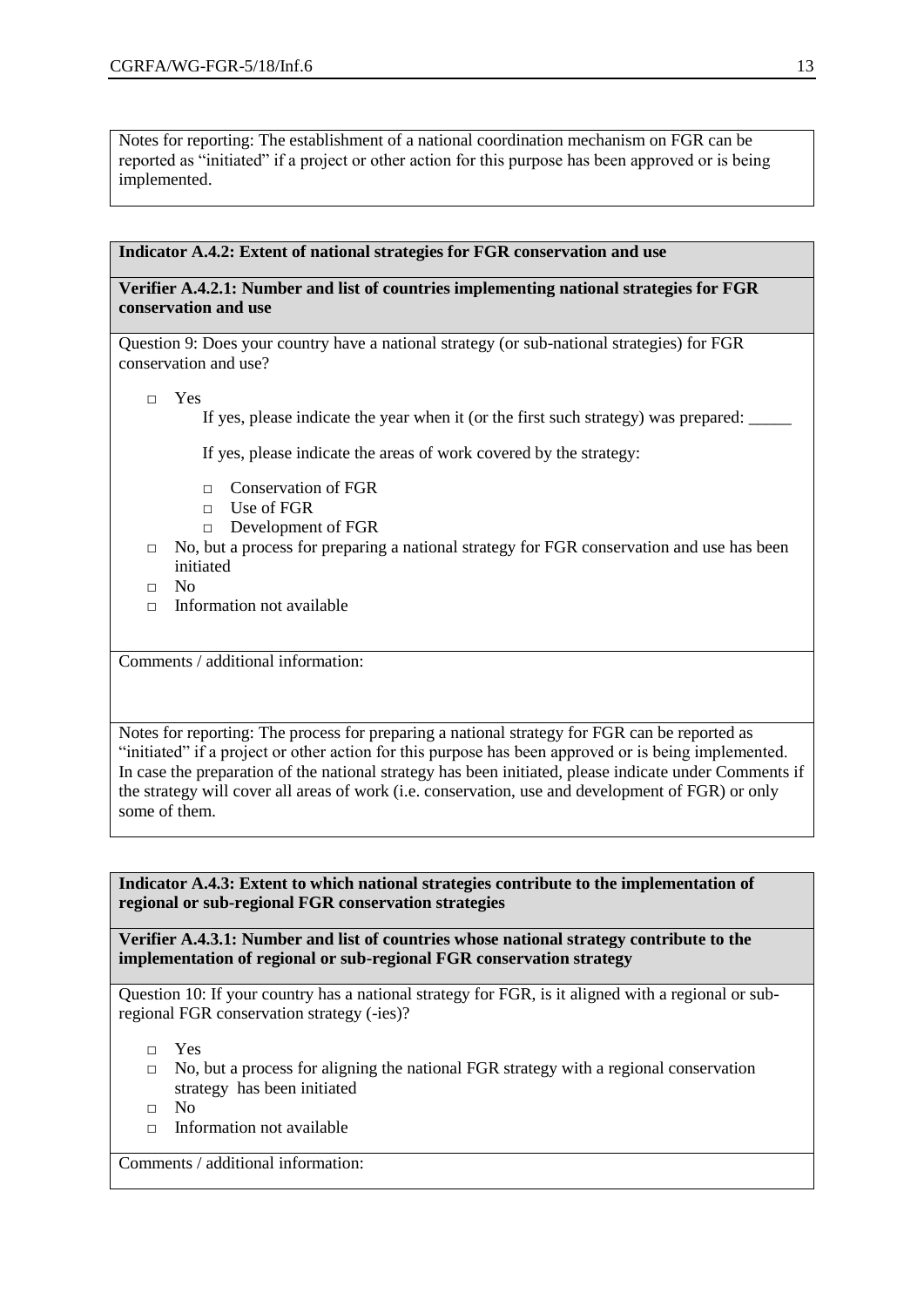Notes for reporting: The establishment of a national coordination mechanism on FGR can be reported as "initiated" if a project or other action for this purpose has been approved or is being implemented.

#### **Indicator A.4.2: Extent of national strategies for FGR conservation and use**

# **Verifier A.4.2.1: Number and list of countries implementing national strategies for FGR conservation and use**

Question 9: Does your country have a national strategy (or sub-national strategies) for FGR conservation and use?

□ Yes

If yes, please indicate the year when it (or the first such strategy) was prepared:

If yes, please indicate the areas of work covered by the strategy:

- □ Conservation of FGR
- □ Use of FGR
- □ Development of FGR
- □ No, but a process for preparing a national strategy for FGR conservation and use has been initiated
- □ No
- $\Box$  Information not available

Comments / additional information:

Notes for reporting: The process for preparing a national strategy for FGR can be reported as "initiated" if a project or other action for this purpose has been approved or is being implemented. In case the preparation of the national strategy has been initiated, please indicate under Comments if the strategy will cover all areas of work (i.e. conservation, use and development of FGR) or only some of them.

**Indicator A.4.3: Extent to which national strategies contribute to the implementation of regional or sub-regional FGR conservation strategies**

**Verifier A.4.3.1: Number and list of countries whose national strategy contribute to the implementation of regional or sub-regional FGR conservation strategy**

Question 10: If your country has a national strategy for FGR, is it aligned with a regional or subregional FGR conservation strategy (-ies)?

□ Yes

- $\Box$  No, but a process for aligning the national FGR strategy with a regional conservation strategy has been initiated
- □ No
- $\Box$  Information not available

Comments / additional information: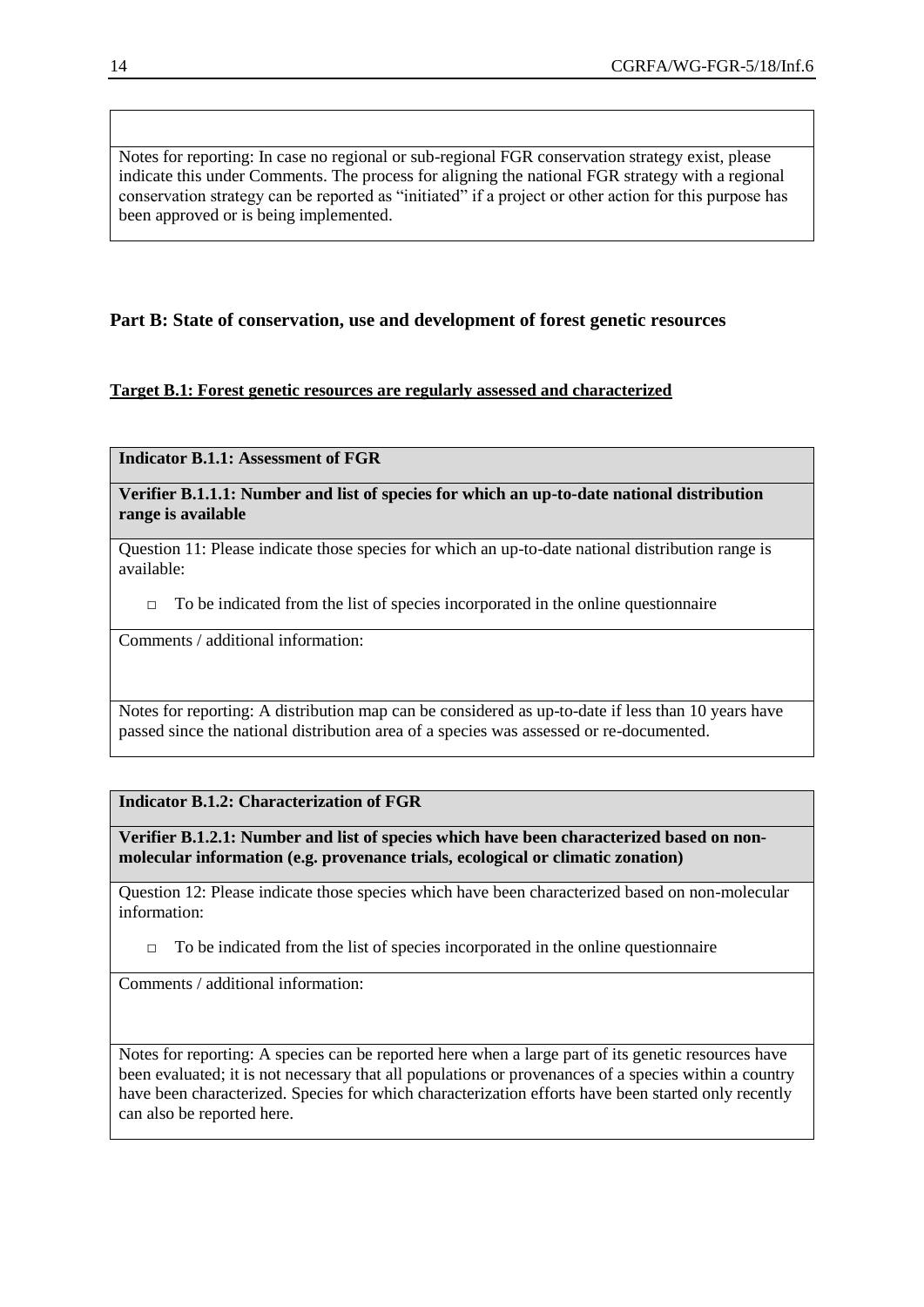Notes for reporting: In case no regional or sub-regional FGR conservation strategy exist, please indicate this under Comments. The process for aligning the national FGR strategy with a regional conservation strategy can be reported as "initiated" if a project or other action for this purpose has been approved or is being implemented.

# **Part B: State of conservation, use and development of forest genetic resources**

# **Target B.1: Forest genetic resources are regularly assessed and characterized**

**Indicator B.1.1: Assessment of FGR**

**Verifier B.1.1.1: Number and list of species for which an up-to-date national distribution range is available**

Question 11: Please indicate those species for which an up-to-date national distribution range is available:

 $\Box$  To be indicated from the list of species incorporated in the online questionnaire

Comments / additional information:

Notes for reporting: A distribution map can be considered as up-to-date if less than 10 years have passed since the national distribution area of a species was assessed or re-documented.

## **Indicator B.1.2: Characterization of FGR**

**Verifier B.1.2.1: Number and list of species which have been characterized based on nonmolecular information (e.g. provenance trials, ecological or climatic zonation)**

Question 12: Please indicate those species which have been characterized based on non-molecular information:

 $\Box$  To be indicated from the list of species incorporated in the online questionnaire

Comments / additional information:

Notes for reporting: A species can be reported here when a large part of its genetic resources have been evaluated; it is not necessary that all populations or provenances of a species within a country have been characterized. Species for which characterization efforts have been started only recently can also be reported here.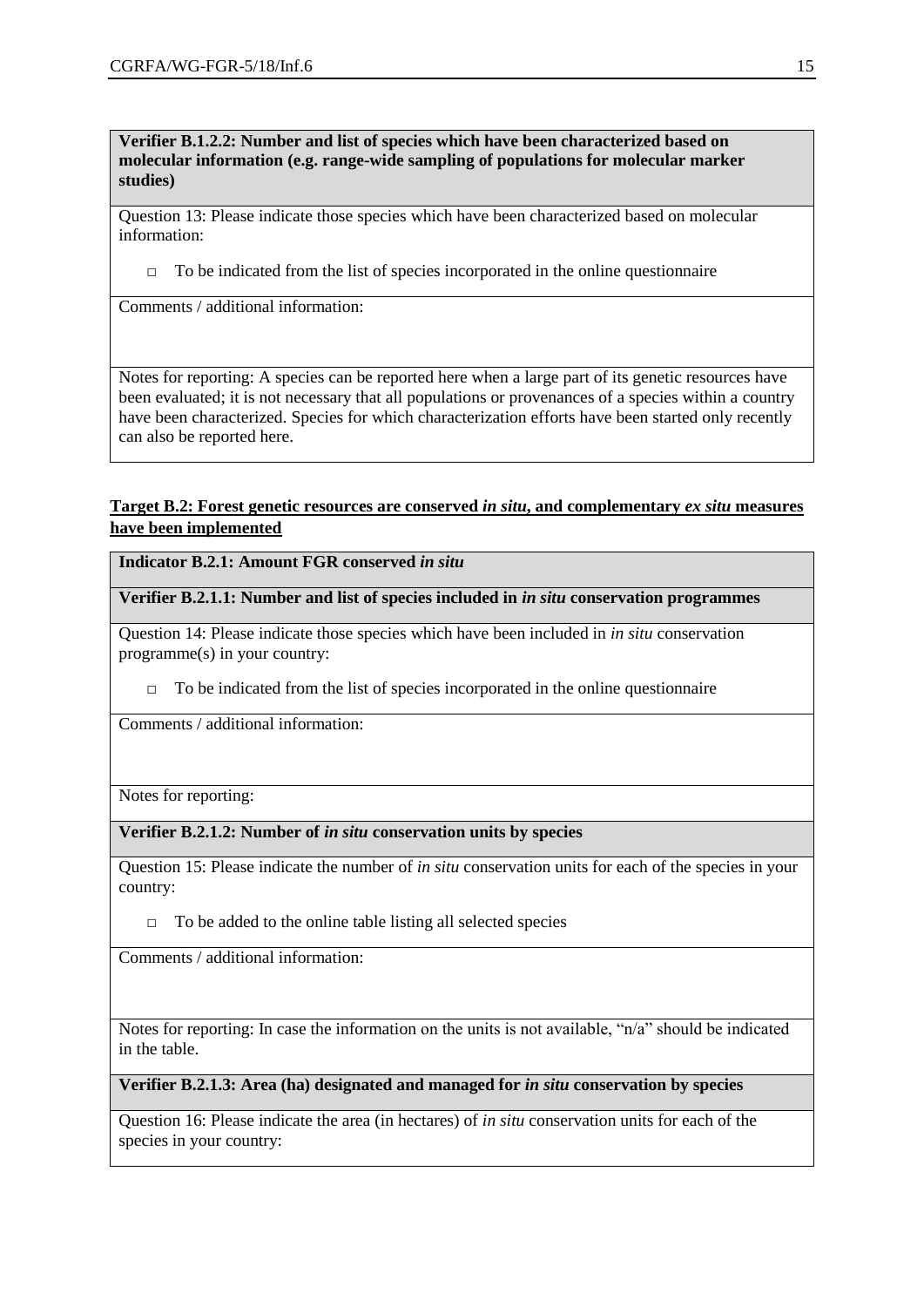**Verifier B.1.2.2: Number and list of species which have been characterized based on molecular information (e.g. range-wide sampling of populations for molecular marker studies)**

Question 13: Please indicate those species which have been characterized based on molecular information:

 $\Box$  To be indicated from the list of species incorporated in the online questionnaire

Comments / additional information:

Notes for reporting: A species can be reported here when a large part of its genetic resources have been evaluated; it is not necessary that all populations or provenances of a species within a country have been characterized. Species for which characterization efforts have been started only recently can also be reported here.

# **Target B.2: Forest genetic resources are conserved** *in situ***, and complementary** *ex situ* **measures have been implemented**

**Indicator B.2.1: Amount FGR conserved in situ.** 

**Verifier B.2.1.1: Number and list of species included in** *in situ* **conservation programmes**

Question 14: Please indicate those species which have been included in *in situ* conservation programme(s) in your country:

 $\Box$  To be indicated from the list of species incorporated in the online questionnaire

Comments / additional information:

Notes for reporting:

## **Verifier B.2.1.2: Number of** *in situ* **conservation units by species**

Question 15: Please indicate the number of *in situ* conservation units for each of the species in your country:

 $\Box$  To be added to the online table listing all selected species

Comments / additional information:

Notes for reporting: In case the information on the units is not available, "n/a" should be indicated in the table.

#### **Verifier B.2.1.3: Area (ha) designated and managed for** *in situ* **conservation by species**

Question 16: Please indicate the area (in hectares) of *in situ* conservation units for each of the species in your country: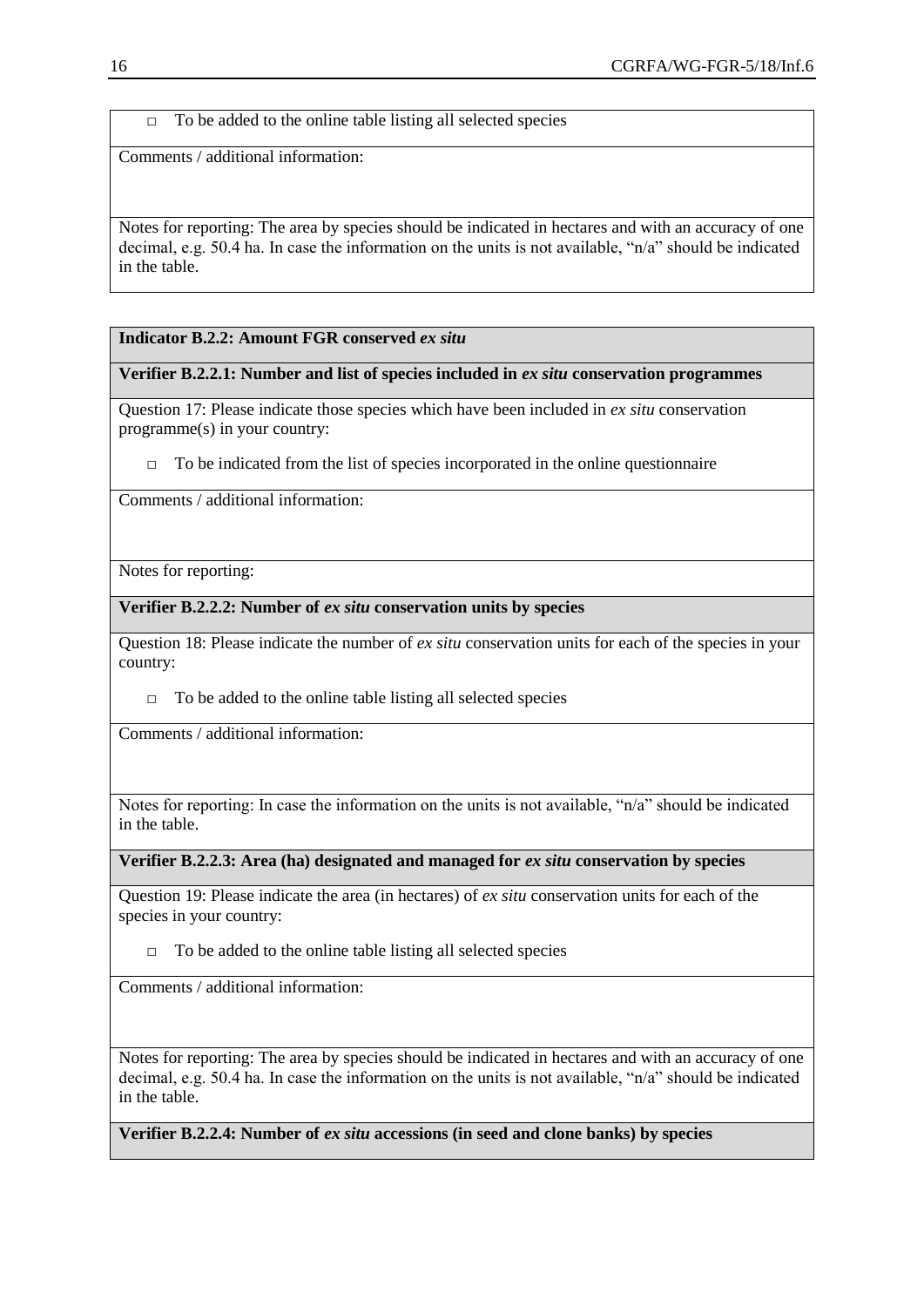$\Box$  To be added to the online table listing all selected species

Comments / additional information:

Notes for reporting: The area by species should be indicated in hectares and with an accuracy of one decimal, e.g. 50.4 ha. In case the information on the units is not available, "n/a" should be indicated in the table.

## **Indicator B.2.2: Amount FGR conserved** *ex situ*

## **Verifier B.2.2.1: Number and list of species included in** *ex situ* **conservation programmes**

Question 17: Please indicate those species which have been included in *ex situ* conservation programme(s) in your country:

 $\Box$  To be indicated from the list of species incorporated in the online questionnaire

Comments / additional information:

Notes for reporting:

## **Verifier B.2.2.2: Number of** *ex situ* **conservation units by species**

Question 18: Please indicate the number of *ex situ* conservation units for each of the species in your country:

 $\Box$  To be added to the online table listing all selected species

Comments / additional information:

Notes for reporting: In case the information on the units is not available, "n/a" should be indicated in the table.

**Verifier B.2.2.3: Area (ha) designated and managed for** *ex situ* **conservation by species**

Question 19: Please indicate the area (in hectares) of *ex situ* conservation units for each of the species in your country:

 $\Box$  To be added to the online table listing all selected species

Comments / additional information:

Notes for reporting: The area by species should be indicated in hectares and with an accuracy of one decimal, e.g. 50.4 ha. In case the information on the units is not available, "n/a" should be indicated in the table.

**Verifier B.2.2.4: Number of** *ex situ* **accessions (in seed and clone banks) by species**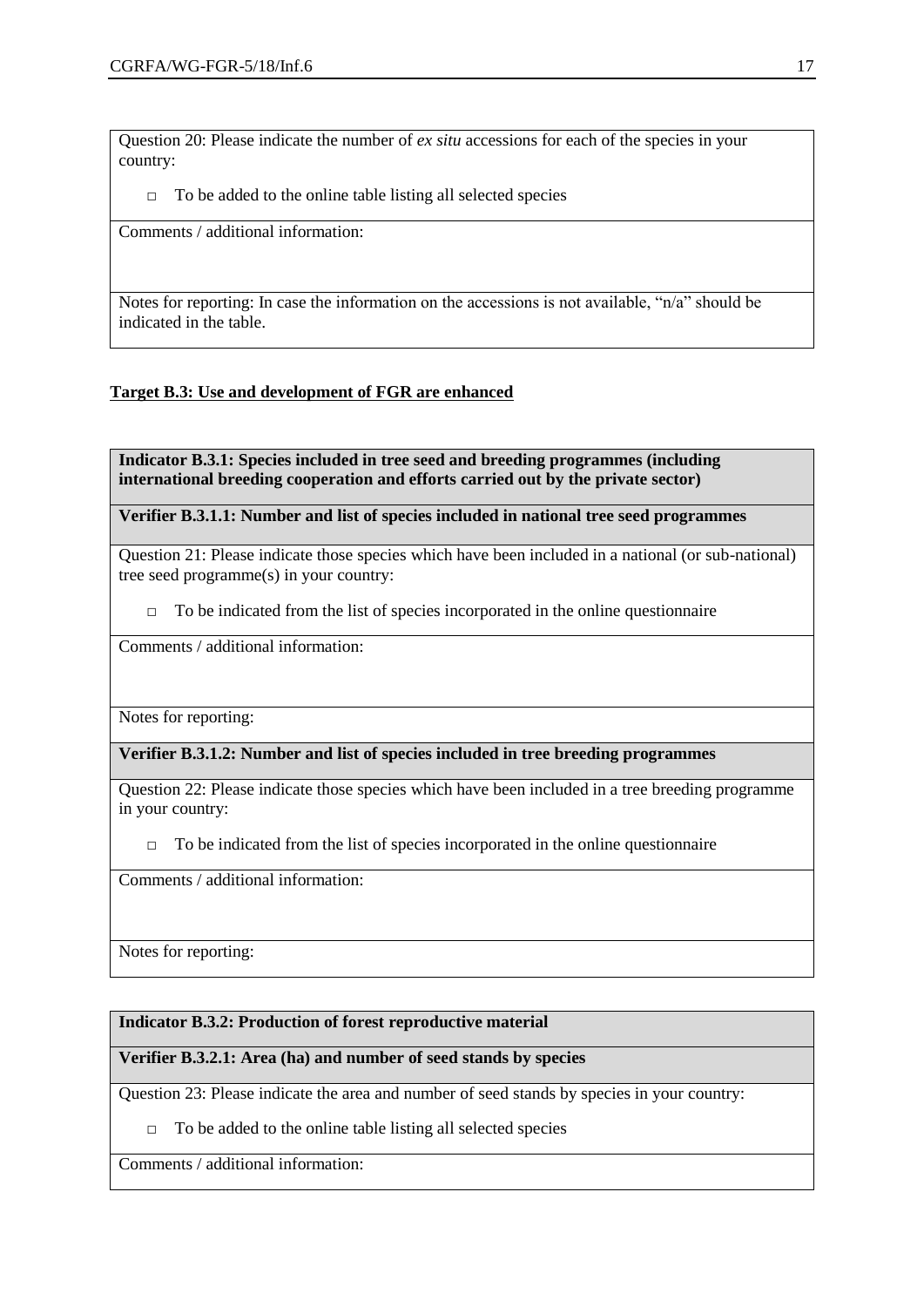Question 20: Please indicate the number of *ex situ* accessions for each of the species in your country:

 $\Box$  To be added to the online table listing all selected species

Comments / additional information:

Notes for reporting: In case the information on the accessions is not available, "n/a" should be indicated in the table.

# **Target B.3: Use and development of FGR are enhanced**

**Indicator B.3.1: Species included in tree seed and breeding programmes (including international breeding cooperation and efforts carried out by the private sector)**

**Verifier B.3.1.1: Number and list of species included in national tree seed programmes**

Question 21: Please indicate those species which have been included in a national (or sub-national) tree seed programme(s) in your country:

 $\Box$  To be indicated from the list of species incorporated in the online questionnaire

Comments / additional information:

Notes for reporting:

# **Verifier B.3.1.2: Number and list of species included in tree breeding programmes**

Question 22: Please indicate those species which have been included in a tree breeding programme in your country:

 $\Box$  To be indicated from the list of species incorporated in the online questionnaire

Comments / additional information:

Notes for reporting:

# **Indicator B.3.2: Production of forest reproductive material**

# **Verifier B.3.2.1: Area (ha) and number of seed stands by species**

Question 23: Please indicate the area and number of seed stands by species in your country:

 $\Box$  To be added to the online table listing all selected species

Comments / additional information: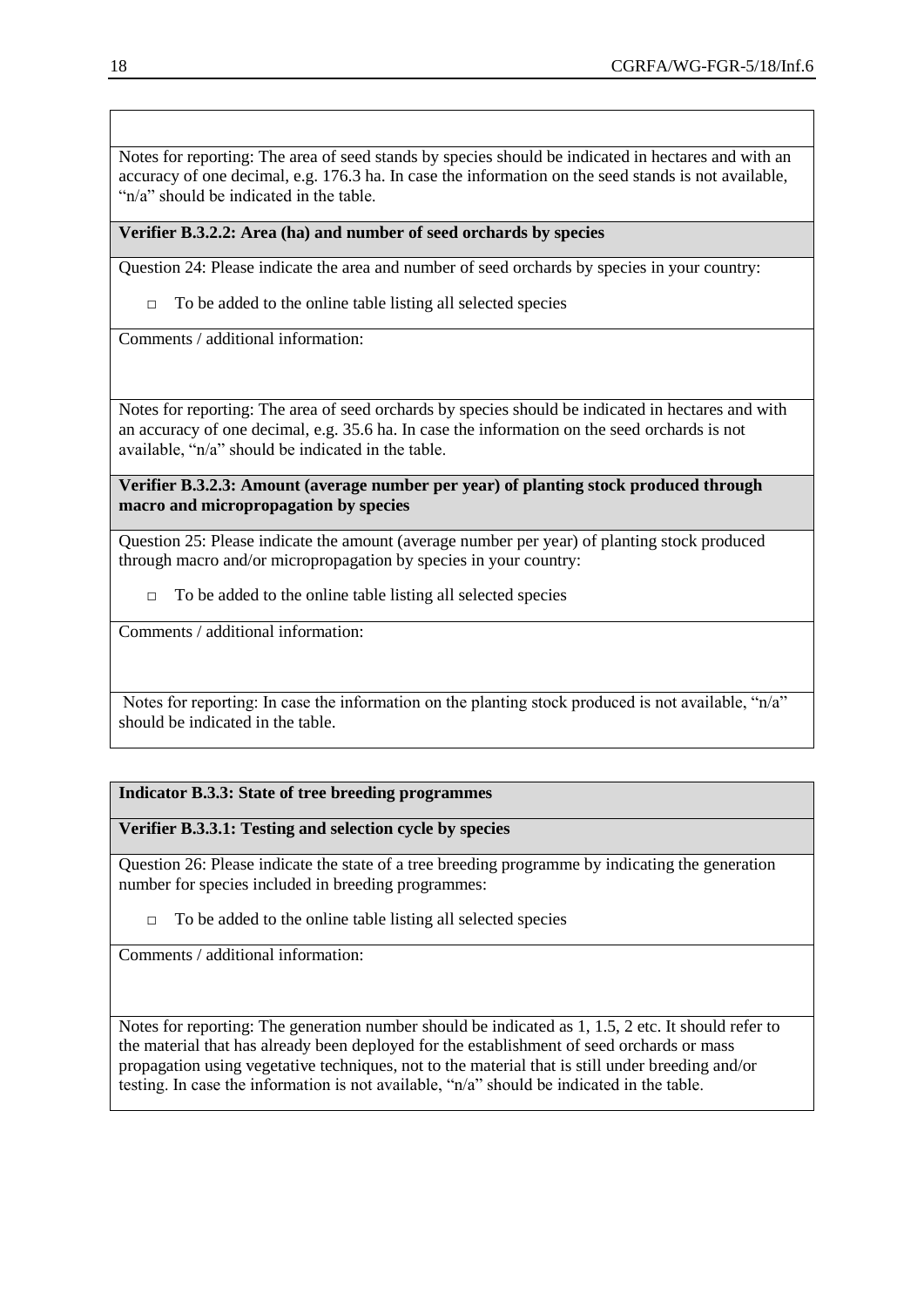Notes for reporting: The area of seed stands by species should be indicated in hectares and with an accuracy of one decimal, e.g. 176.3 ha. In case the information on the seed stands is not available, "n/a" should be indicated in the table.

# **Verifier B.3.2.2: Area (ha) and number of seed orchards by species**

Question 24: Please indicate the area and number of seed orchards by species in your country:

 $\Box$  To be added to the online table listing all selected species

Comments / additional information:

Notes for reporting: The area of seed orchards by species should be indicated in hectares and with an accuracy of one decimal, e.g. 35.6 ha. In case the information on the seed orchards is not available, "n/a" should be indicated in the table.

**Verifier B.3.2.3: Amount (average number per year) of planting stock produced through macro and micropropagation by species**

Question 25: Please indicate the amount (average number per year) of planting stock produced through macro and/or micropropagation by species in your country:

 $\Box$  To be added to the online table listing all selected species

Comments / additional information:

Notes for reporting: In case the information on the planting stock produced is not available, "n/a" should be indicated in the table.

# **Indicator B.3.3: State of tree breeding programmes**

**Verifier B.3.3.1: Testing and selection cycle by species**

Question 26: Please indicate the state of a tree breeding programme by indicating the generation number for species included in breeding programmes:

 $\Box$  To be added to the online table listing all selected species

Comments / additional information:

Notes for reporting: The generation number should be indicated as 1, 1.5, 2 etc. It should refer to the material that has already been deployed for the establishment of seed orchards or mass propagation using vegetative techniques, not to the material that is still under breeding and/or testing. In case the information is not available, "n/a" should be indicated in the table.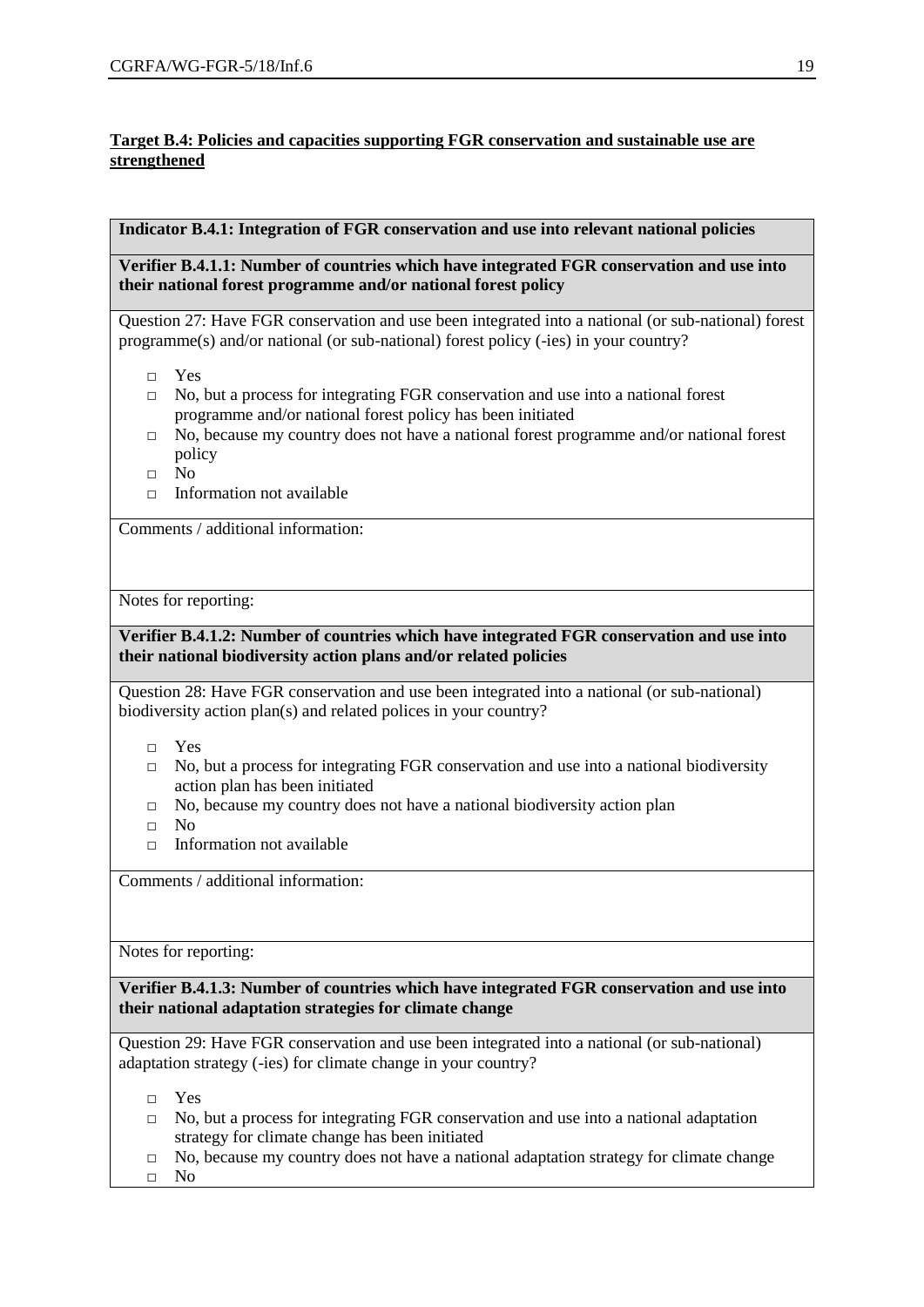# **Target B.4: Policies and capacities supporting FGR conservation and sustainable use are strengthened**

# **Indicator B.4.1: Integration of FGR conservation and use into relevant national policies**

**Verifier B.4.1.1: Number of countries which have integrated FGR conservation and use into their national forest programme and/or national forest policy**

Question 27: Have FGR conservation and use been integrated into a national (or sub-national) forest programme(s) and/or national (or sub-national) forest policy (-ies) in your country?

- □ Yes
- $\Box$  No, but a process for integrating FGR conservation and use into a national forest programme and/or national forest policy has been initiated
- $\Box$  No, because my country does not have a national forest programme and/or national forest policy
- □ No
- $\Box$  Information not available

Comments / additional information:

Notes for reporting:

# **Verifier B.4.1.2: Number of countries which have integrated FGR conservation and use into their national biodiversity action plans and/or related policies**

Question 28: Have FGR conservation and use been integrated into a national (or sub-national) biodiversity action plan(s) and related polices in your country?

- □ Yes
- $\Box$  No, but a process for integrating FGR conservation and use into a national biodiversity action plan has been initiated
- □ No, because my country does not have a national biodiversity action plan
- □ No
- $\Box$  Information not available

Comments / additional information:

Notes for reporting:

**Verifier B.4.1.3: Number of countries which have integrated FGR conservation and use into their national adaptation strategies for climate change**

Question 29: Have FGR conservation and use been integrated into a national (or sub-national) adaptation strategy (-ies) for climate change in your country?

- □ Yes
- $\Box$  No, but a process for integrating FGR conservation and use into a national adaptation strategy for climate change has been initiated
- $\Box$  No, because my country does not have a national adaptation strategy for climate change
- □ No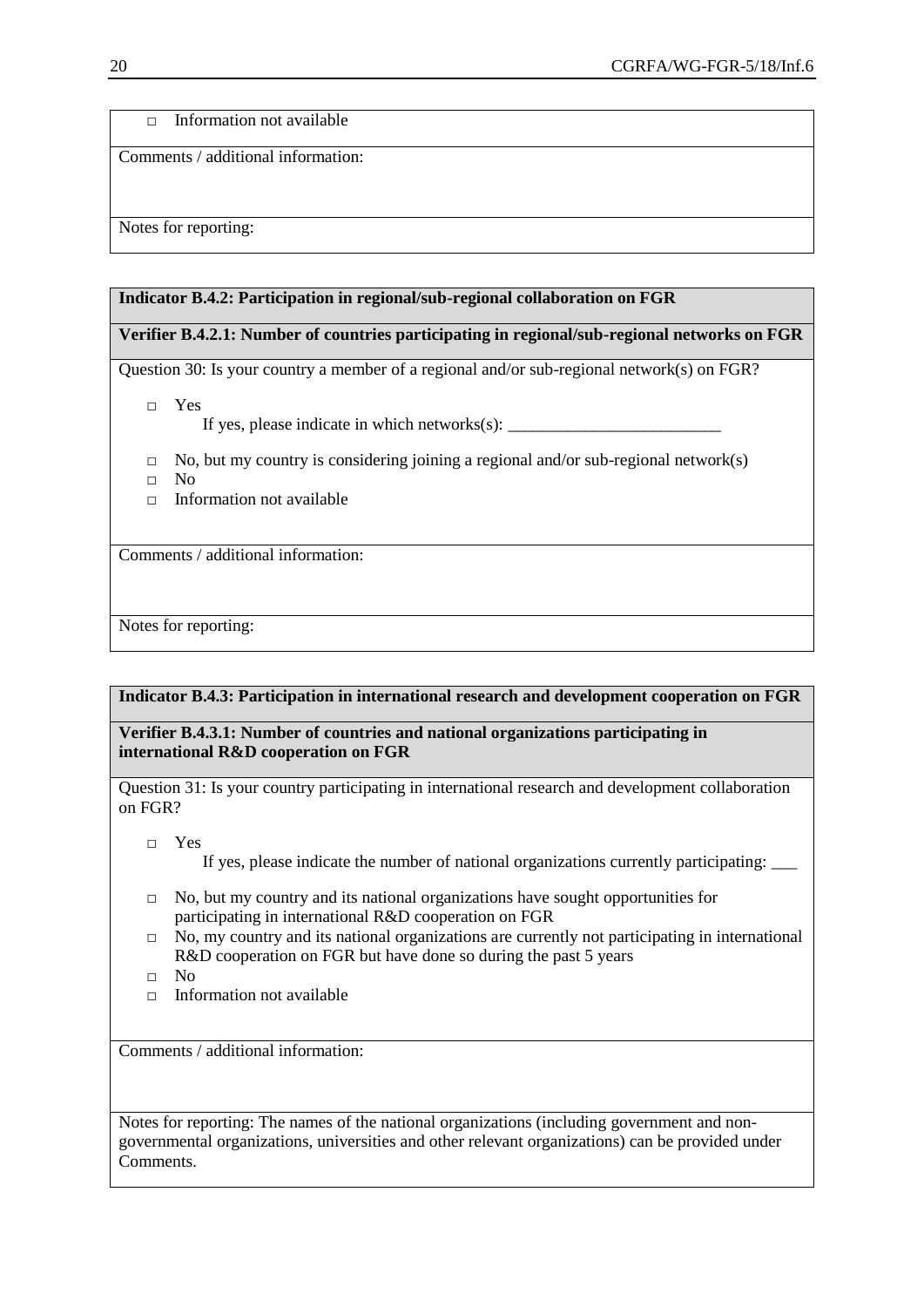□ Information not available

Comments / additional information:

Notes for reporting:

#### **Indicator B.4.2: Participation in regional/sub-regional collaboration on FGR**

# **Verifier B.4.2.1: Number of countries participating in regional/sub-regional networks on FGR**

Question 30: Is your country a member of a regional and/or sub-regional network(s) on FGR?

□ Yes

If yes, please indicate in which networks(s):  $\frac{1}{\frac{1}{2} \cdot \frac{1}{2} \cdot \frac{1}{2} \cdot \frac{1}{2} \cdot \frac{1}{2} \cdot \frac{1}{2} \cdot \frac{1}{2} \cdot \frac{1}{2} \cdot \frac{1}{2} \cdot \frac{1}{2} \cdot \frac{1}{2} \cdot \frac{1}{2} \cdot \frac{1}{2} \cdot \frac{1}{2} \cdot \frac{1}{2} \cdot \frac{1}{2} \cdot \frac{1}{2} \cdot \frac{1}{2} \cdot \frac{1}{2}$ 

- $\Box$  No, but my country is considering joining a regional and/or sub-regional network(s)
- □ No
- □ Information not available

Comments / additional information:

Notes for reporting:

## **Indicator B.4.3: Participation in international research and development cooperation on FGR**

**Verifier B.4.3.1: Number of countries and national organizations participating in international R&D cooperation on FGR**

Question 31: Is your country participating in international research and development collaboration on FGR?

□ Yes

If yes, please indicate the number of national organizations currently participating: \_\_\_

- $\Box$  No, but my country and its national organizations have sought opportunities for participating in international R&D cooperation on FGR
- $\Box$  No, my country and its national organizations are currently not participating in international R&D cooperation on FGR but have done so during the past 5 years
- □ No
- $\Box$  Information not available

Comments / additional information:

Notes for reporting: The names of the national organizations (including government and nongovernmental organizations, universities and other relevant organizations) can be provided under Comments.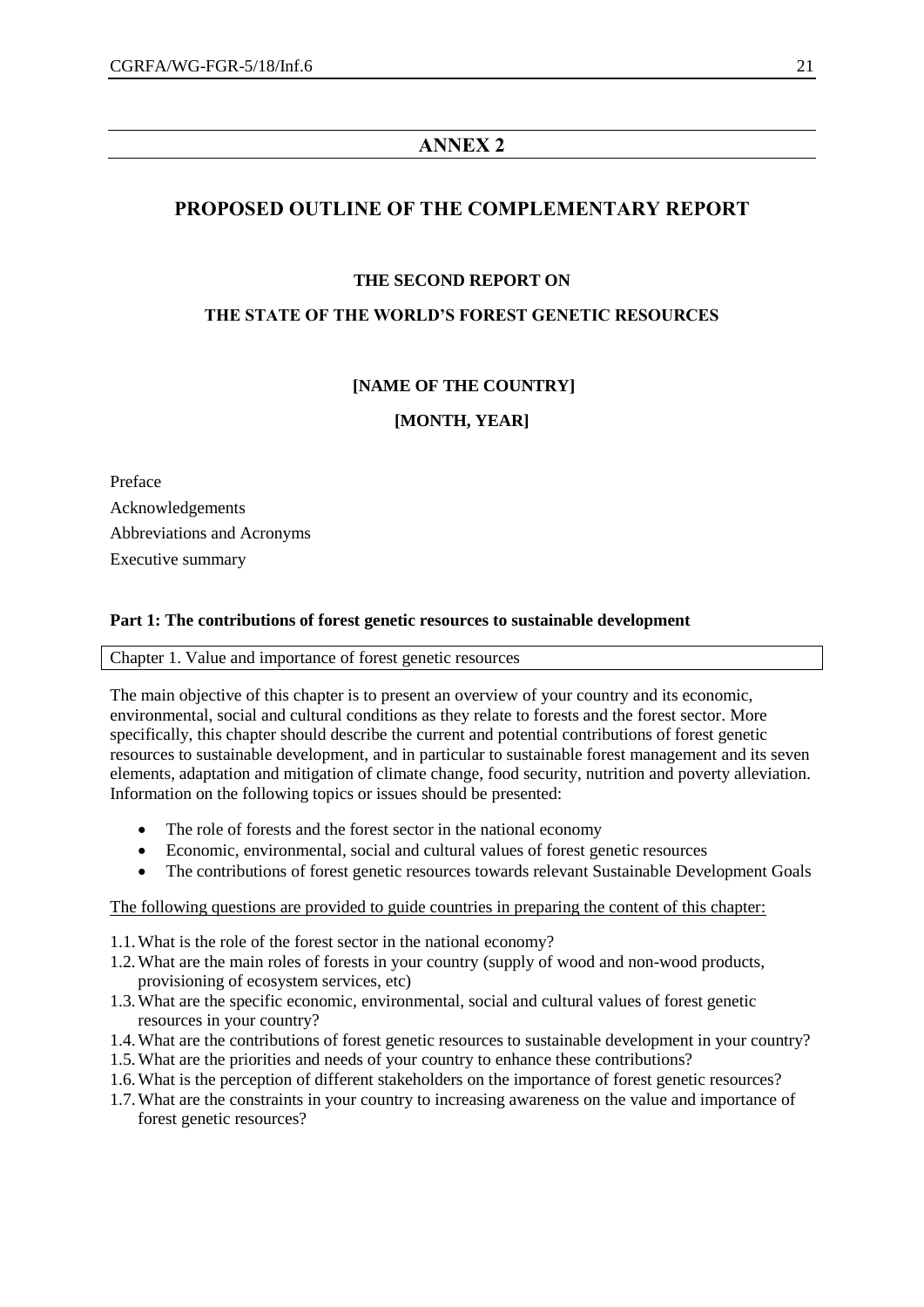# **ANNEX 2**

# **PROPOSED OUTLINE OF THE COMPLEMENTARY REPORT**

# **THE SECOND REPORT ON**

# **THE STATE OF THE WORLD'S FOREST GENETIC RESOURCES**

# **[NAME OF THE COUNTRY]**

# **[MONTH, YEAR]**

Preface Acknowledgements Abbreviations and Acronyms Executive summary

## **Part 1: The contributions of forest genetic resources to sustainable development**

#### Chapter 1. Value and importance of forest genetic resources

The main objective of this chapter is to present an overview of your country and its economic, environmental, social and cultural conditions as they relate to forests and the forest sector. More specifically, this chapter should describe the current and potential contributions of forest genetic resources to sustainable development, and in particular to sustainable forest management and its seven elements, adaptation and mitigation of climate change, food security, nutrition and poverty alleviation. Information on the following topics or issues should be presented:

- The role of forests and the forest sector in the national economy
- Economic, environmental, social and cultural values of forest genetic resources
- The contributions of forest genetic resources towards relevant Sustainable Development Goals

#### The following questions are provided to guide countries in preparing the content of this chapter:

- 1.1.What is the role of the forest sector in the national economy?
- 1.2.What are the main roles of forests in your country (supply of wood and non-wood products, provisioning of ecosystem services, etc)
- 1.3.What are the specific economic, environmental, social and cultural values of forest genetic resources in your country?
- 1.4.What are the contributions of forest genetic resources to sustainable development in your country?
- 1.5.What are the priorities and needs of your country to enhance these contributions?
- 1.6.What is the perception of different stakeholders on the importance of forest genetic resources?
- 1.7.What are the constraints in your country to increasing awareness on the value and importance of forest genetic resources?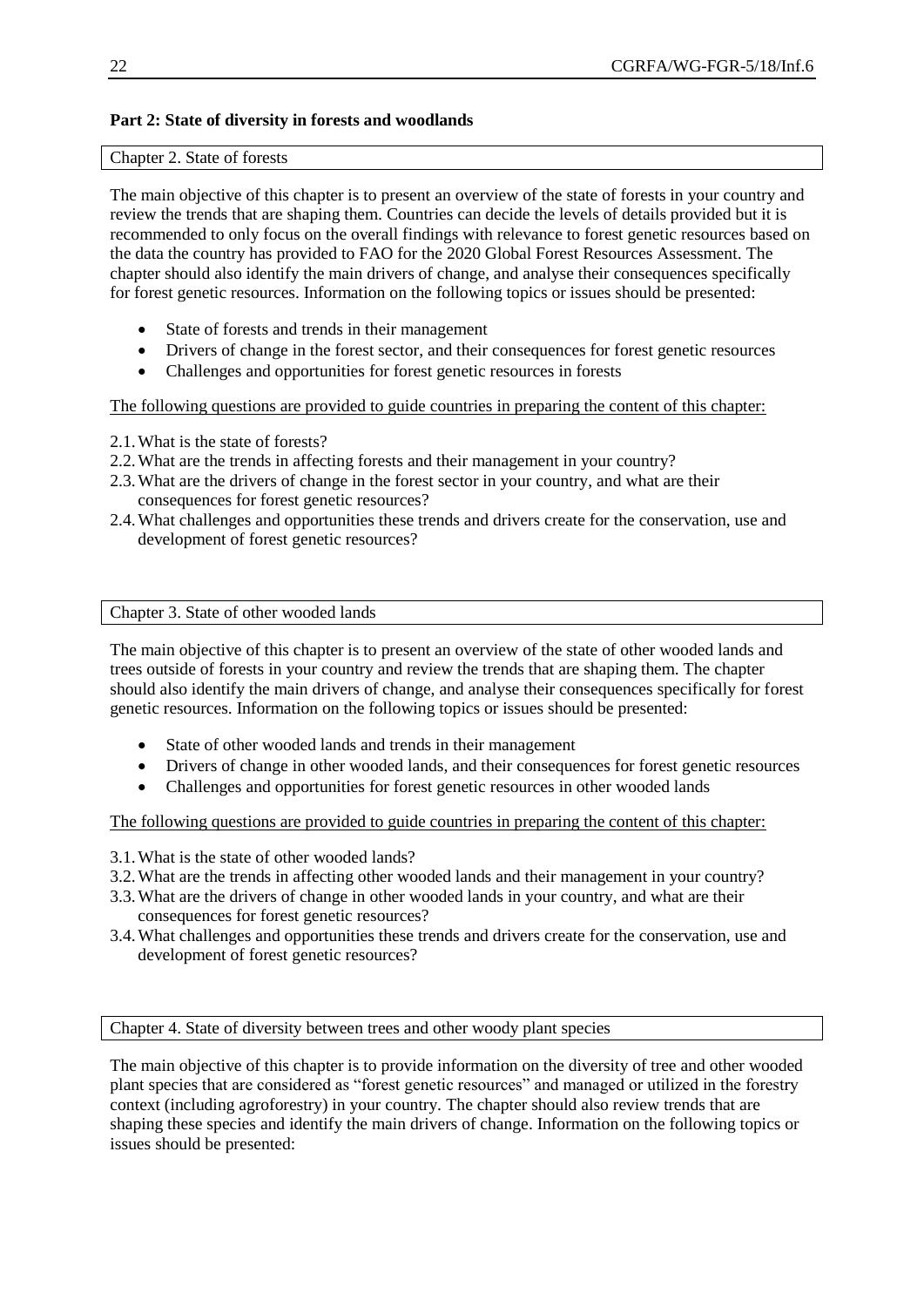# **Part 2: State of diversity in forests and woodlands**

#### Chapter 2. State of forests

The main objective of this chapter is to present an overview of the state of forests in your country and review the trends that are shaping them. Countries can decide the levels of details provided but it is recommended to only focus on the overall findings with relevance to forest genetic resources based on the data the country has provided to FAO for the 2020 Global Forest Resources Assessment. The chapter should also identify the main drivers of change, and analyse their consequences specifically for forest genetic resources. Information on the following topics or issues should be presented:

- State of forests and trends in their management
- Drivers of change in the forest sector, and their consequences for forest genetic resources
- Challenges and opportunities for forest genetic resources in forests

The following questions are provided to guide countries in preparing the content of this chapter:

- 2.1.What is the state of forests?
- 2.2.What are the trends in affecting forests and their management in your country?
- 2.3.What are the drivers of change in the forest sector in your country, and what are their consequences for forest genetic resources?
- 2.4.What challenges and opportunities these trends and drivers create for the conservation, use and development of forest genetic resources?

Chapter 3. State of other wooded lands

The main objective of this chapter is to present an overview of the state of other wooded lands and trees outside of forests in your country and review the trends that are shaping them. The chapter should also identify the main drivers of change, and analyse their consequences specifically for forest genetic resources. Information on the following topics or issues should be presented:

- State of other wooded lands and trends in their management
- Drivers of change in other wooded lands, and their consequences for forest genetic resources
- Challenges and opportunities for forest genetic resources in other wooded lands

The following questions are provided to guide countries in preparing the content of this chapter:

- 3.1.What is the state of other wooded lands?
- 3.2.What are the trends in affecting other wooded lands and their management in your country?
- 3.3.What are the drivers of change in other wooded lands in your country, and what are their consequences for forest genetic resources?
- 3.4.What challenges and opportunities these trends and drivers create for the conservation, use and development of forest genetic resources?

Chapter 4. State of diversity between trees and other woody plant species

The main objective of this chapter is to provide information on the diversity of tree and other wooded plant species that are considered as "forest genetic resources" and managed or utilized in the forestry context (including agroforestry) in your country. The chapter should also review trends that are shaping these species and identify the main drivers of change. Information on the following topics or issues should be presented: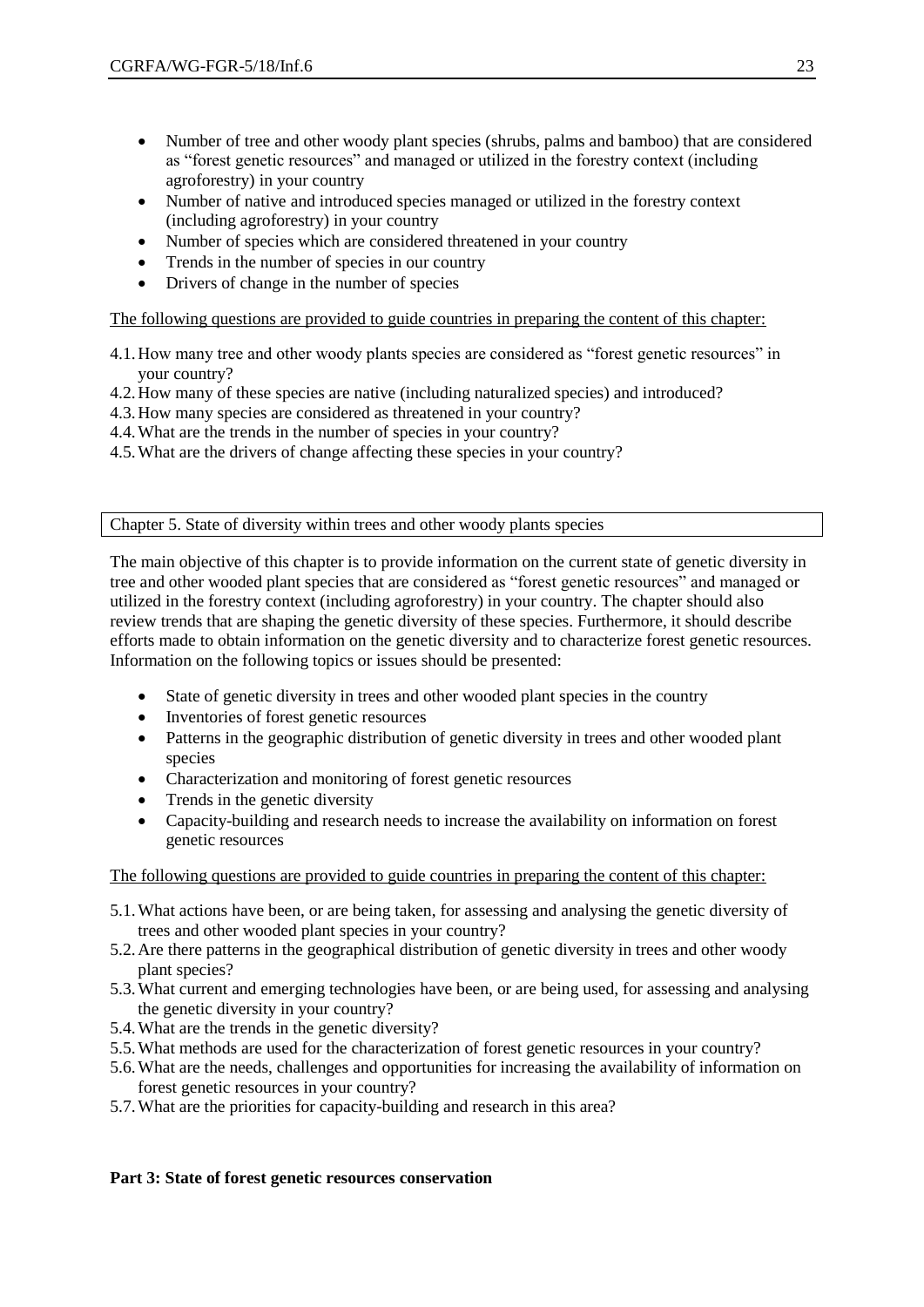- Number of tree and other woody plant species (shrubs, palms and bamboo) that are considered as "forest genetic resources" and managed or utilized in the forestry context (including agroforestry) in your country
- Number of native and introduced species managed or utilized in the forestry context (including agroforestry) in your country
- Number of species which are considered threatened in your country
- Trends in the number of species in our country
- Drivers of change in the number of species

The following questions are provided to guide countries in preparing the content of this chapter:

- 4.1.How many tree and other woody plants species are considered as "forest genetic resources" in your country?
- 4.2.How many of these species are native (including naturalized species) and introduced?
- 4.3.How many species are considered as threatened in your country?
- 4.4.What are the trends in the number of species in your country?
- 4.5.What are the drivers of change affecting these species in your country?

Chapter 5. State of diversity within trees and other woody plants species

The main objective of this chapter is to provide information on the current state of genetic diversity in tree and other wooded plant species that are considered as "forest genetic resources" and managed or utilized in the forestry context (including agroforestry) in your country. The chapter should also review trends that are shaping the genetic diversity of these species. Furthermore, it should describe efforts made to obtain information on the genetic diversity and to characterize forest genetic resources. Information on the following topics or issues should be presented:

- State of genetic diversity in trees and other wooded plant species in the country
- Inventories of forest genetic resources
- Patterns in the geographic distribution of genetic diversity in trees and other wooded plant species
- Characterization and monitoring of forest genetic resources
- Trends in the genetic diversity
- Capacity-building and research needs to increase the availability on information on forest genetic resources

The following questions are provided to guide countries in preparing the content of this chapter:

- 5.1.What actions have been, or are being taken, for assessing and analysing the genetic diversity of trees and other wooded plant species in your country?
- 5.2.Are there patterns in the geographical distribution of genetic diversity in trees and other woody plant species?
- 5.3.What current and emerging technologies have been, or are being used, for assessing and analysing the genetic diversity in your country?
- 5.4.What are the trends in the genetic diversity?
- 5.5.What methods are used for the characterization of forest genetic resources in your country?
- 5.6.What are the needs, challenges and opportunities for increasing the availability of information on forest genetic resources in your country?
- 5.7.What are the priorities for capacity-building and research in this area?

## **Part 3: State of forest genetic resources conservation**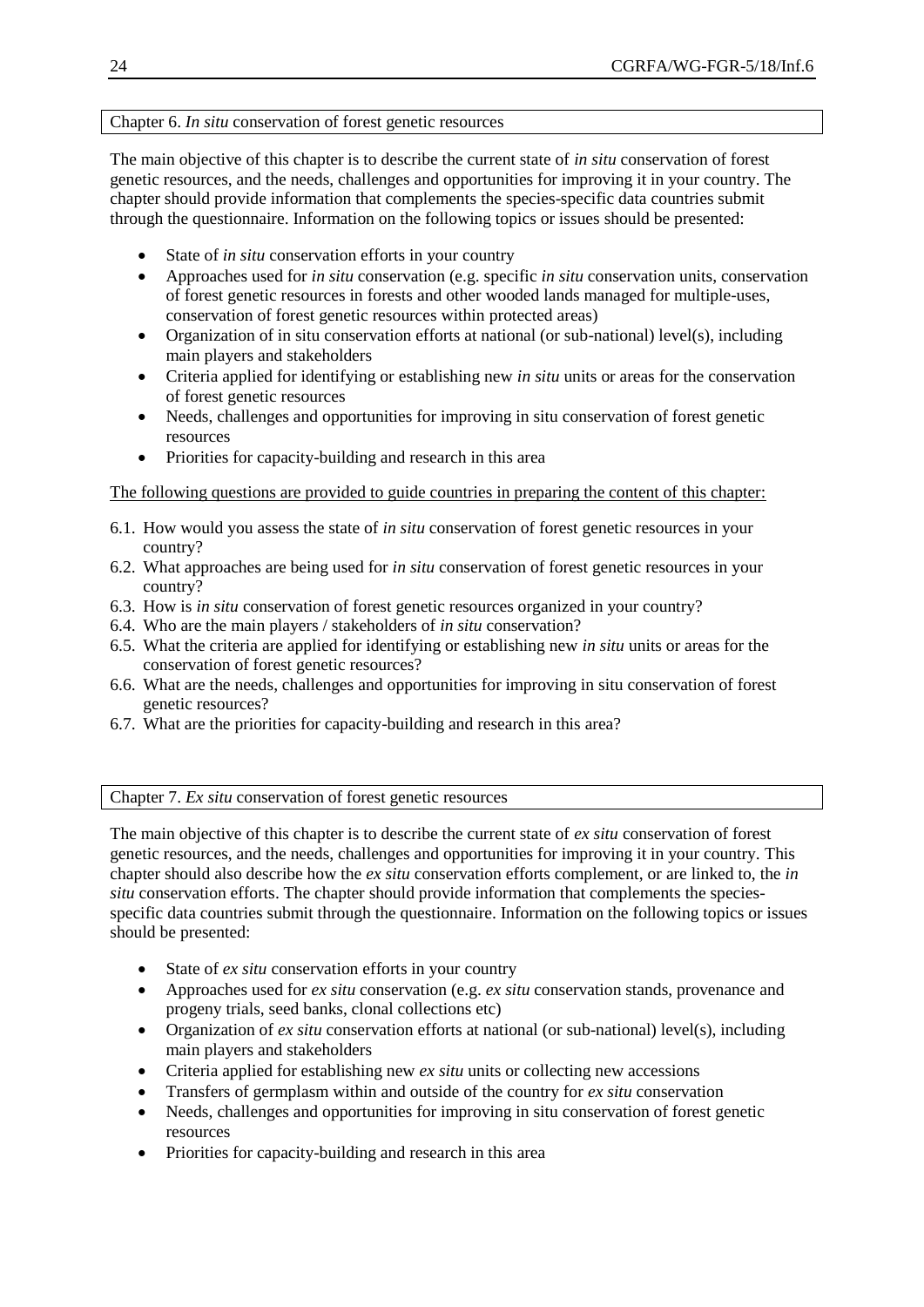#### Chapter 6. *In situ* conservation of forest genetic resources

The main objective of this chapter is to describe the current state of *in situ* conservation of forest genetic resources, and the needs, challenges and opportunities for improving it in your country. The chapter should provide information that complements the species-specific data countries submit through the questionnaire. Information on the following topics or issues should be presented:

- State of *in situ* conservation efforts in your country
- Approaches used for *in situ* conservation (e.g. specific *in situ* conservation units, conservation of forest genetic resources in forests and other wooded lands managed for multiple-uses, conservation of forest genetic resources within protected areas)
- Organization of in situ conservation efforts at national (or sub-national) level(s), including main players and stakeholders
- Criteria applied for identifying or establishing new *in situ* units or areas for the conservation of forest genetic resources
- Needs, challenges and opportunities for improving in situ conservation of forest genetic resources
- Priorities for capacity-building and research in this area

## The following questions are provided to guide countries in preparing the content of this chapter:

- 6.1. How would you assess the state of *in situ* conservation of forest genetic resources in your country?
- 6.2. What approaches are being used for *in situ* conservation of forest genetic resources in your country?
- 6.3. How is *in situ* conservation of forest genetic resources organized in your country?
- 6.4. Who are the main players / stakeholders of *in situ* conservation?
- 6.5. What the criteria are applied for identifying or establishing new *in situ* units or areas for the conservation of forest genetic resources?
- 6.6. What are the needs, challenges and opportunities for improving in situ conservation of forest genetic resources?
- 6.7. What are the priorities for capacity-building and research in this area?

Chapter 7. *Ex situ* conservation of forest genetic resources

The main objective of this chapter is to describe the current state of *ex situ* conservation of forest genetic resources, and the needs, challenges and opportunities for improving it in your country. This chapter should also describe how the *ex situ* conservation efforts complement, or are linked to, the *in situ* conservation efforts. The chapter should provide information that complements the speciesspecific data countries submit through the questionnaire. Information on the following topics or issues should be presented:

- State of *ex situ* conservation efforts in your country
- Approaches used for *ex situ* conservation (e.g. *ex situ* conservation stands, provenance and progeny trials, seed banks, clonal collections etc)
- Organization of *ex situ* conservation efforts at national (or sub-national) level(s), including main players and stakeholders
- Criteria applied for establishing new *ex situ* units or collecting new accessions
- Transfers of germplasm within and outside of the country for *ex situ* conservation
- Needs, challenges and opportunities for improving in situ conservation of forest genetic resources
- Priorities for capacity-building and research in this area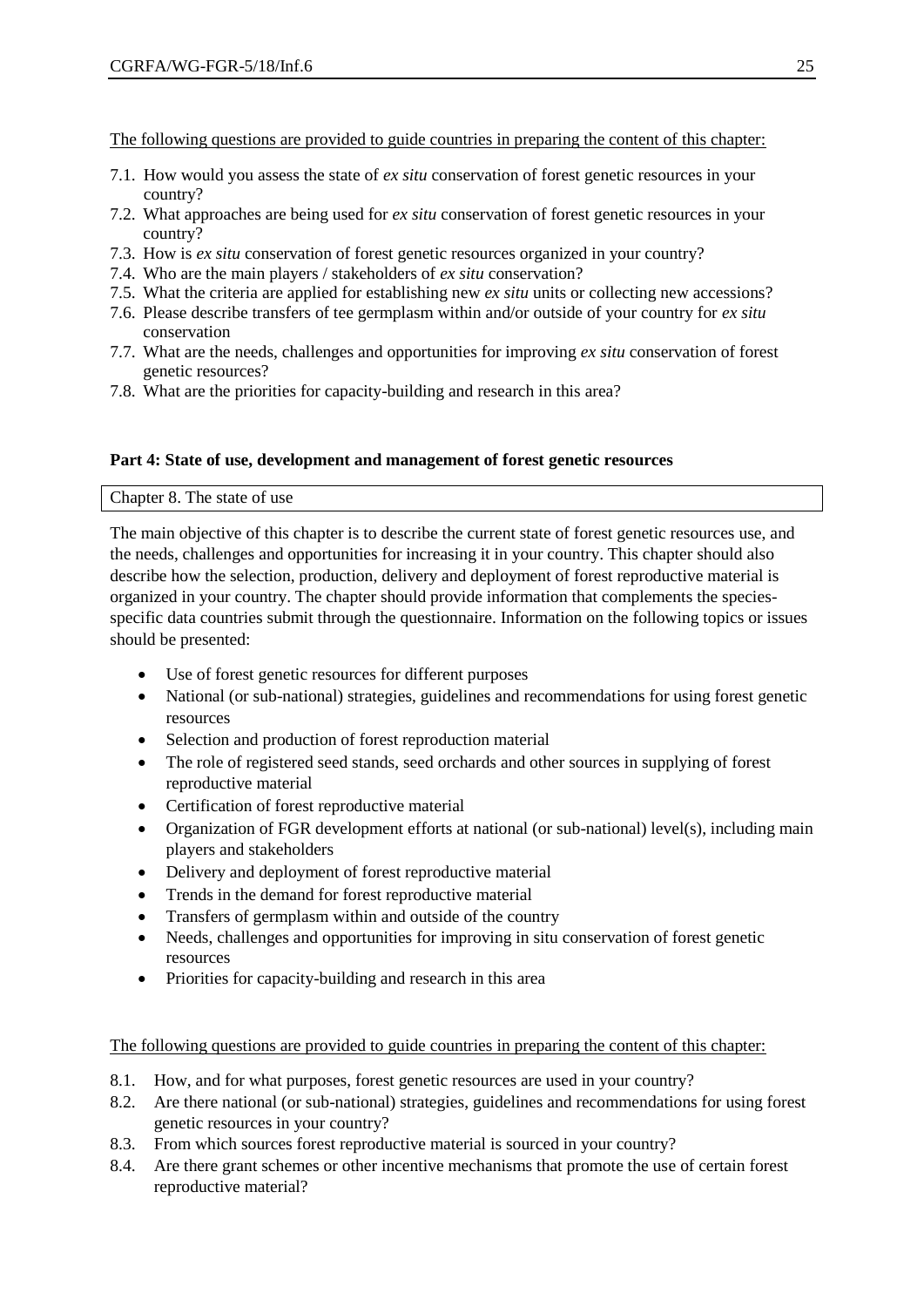The following questions are provided to guide countries in preparing the content of this chapter:

- 7.1. How would you assess the state of *ex situ* conservation of forest genetic resources in your country?
- 7.2. What approaches are being used for *ex situ* conservation of forest genetic resources in your country?
- 7.3. How is *ex situ* conservation of forest genetic resources organized in your country?
- 7.4. Who are the main players / stakeholders of *ex situ* conservation?
- 7.5. What the criteria are applied for establishing new *ex situ* units or collecting new accessions?
- 7.6. Please describe transfers of tee germplasm within and/or outside of your country for *ex situ* conservation
- 7.7. What are the needs, challenges and opportunities for improving *ex situ* conservation of forest genetic resources?
- 7.8. What are the priorities for capacity-building and research in this area?

#### **Part 4: State of use, development and management of forest genetic resources**

#### Chapter 8. The state of use

The main objective of this chapter is to describe the current state of forest genetic resources use, and the needs, challenges and opportunities for increasing it in your country. This chapter should also describe how the selection, production, delivery and deployment of forest reproductive material is organized in your country. The chapter should provide information that complements the speciesspecific data countries submit through the questionnaire. Information on the following topics or issues should be presented:

- Use of forest genetic resources for different purposes
- National (or sub-national) strategies, guidelines and recommendations for using forest genetic resources
- Selection and production of forest reproduction material
- The role of registered seed stands, seed orchards and other sources in supplying of forest reproductive material
- Certification of forest reproductive material
- Organization of FGR development efforts at national (or sub-national) level(s), including main players and stakeholders
- Delivery and deployment of forest reproductive material
- Trends in the demand for forest reproductive material
- Transfers of germplasm within and outside of the country
- Needs, challenges and opportunities for improving in situ conservation of forest genetic resources
- Priorities for capacity-building and research in this area

## The following questions are provided to guide countries in preparing the content of this chapter:

- 8.1. How, and for what purposes, forest genetic resources are used in your country?
- 8.2. Are there national (or sub-national) strategies, guidelines and recommendations for using forest genetic resources in your country?
- 8.3. From which sources forest reproductive material is sourced in your country?
- 8.4. Are there grant schemes or other incentive mechanisms that promote the use of certain forest reproductive material?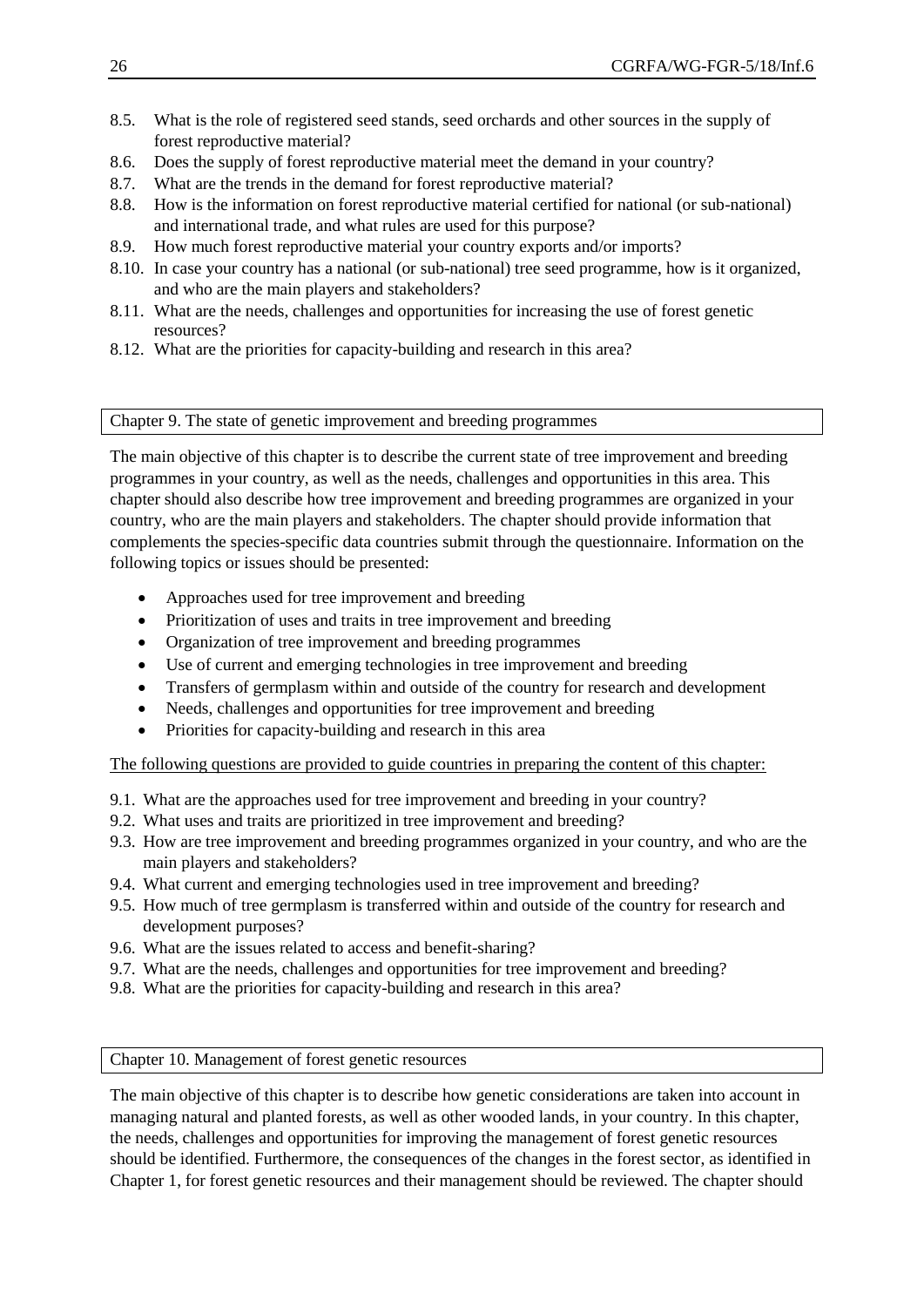- 8.5. What is the role of registered seed stands, seed orchards and other sources in the supply of forest reproductive material?
- 8.6. Does the supply of forest reproductive material meet the demand in your country?
- 8.7. What are the trends in the demand for forest reproductive material?
- 8.8. How is the information on forest reproductive material certified for national (or sub-national) and international trade, and what rules are used for this purpose?
- 8.9. How much forest reproductive material your country exports and/or imports?
- 8.10. In case your country has a national (or sub-national) tree seed programme, how is it organized, and who are the main players and stakeholders?
- 8.11. What are the needs, challenges and opportunities for increasing the use of forest genetic resources?
- 8.12. What are the priorities for capacity-building and research in this area?

# Chapter 9. The state of genetic improvement and breeding programmes

The main objective of this chapter is to describe the current state of tree improvement and breeding programmes in your country, as well as the needs, challenges and opportunities in this area. This chapter should also describe how tree improvement and breeding programmes are organized in your country, who are the main players and stakeholders. The chapter should provide information that complements the species-specific data countries submit through the questionnaire. Information on the following topics or issues should be presented:

- Approaches used for tree improvement and breeding
- Prioritization of uses and traits in tree improvement and breeding
- Organization of tree improvement and breeding programmes
- Use of current and emerging technologies in tree improvement and breeding
- Transfers of germplasm within and outside of the country for research and development
- Needs, challenges and opportunities for tree improvement and breeding
- Priorities for capacity-building and research in this area

The following questions are provided to guide countries in preparing the content of this chapter:

- 9.1. What are the approaches used for tree improvement and breeding in your country?
- 9.2. What uses and traits are prioritized in tree improvement and breeding?
- 9.3. How are tree improvement and breeding programmes organized in your country, and who are the main players and stakeholders?
- 9.4. What current and emerging technologies used in tree improvement and breeding?
- 9.5. How much of tree germplasm is transferred within and outside of the country for research and development purposes?
- 9.6. What are the issues related to access and benefit-sharing?
- 9.7. What are the needs, challenges and opportunities for tree improvement and breeding?
- 9.8. What are the priorities for capacity-building and research in this area?

Chapter 10. Management of forest genetic resources

The main objective of this chapter is to describe how genetic considerations are taken into account in managing natural and planted forests, as well as other wooded lands, in your country. In this chapter, the needs, challenges and opportunities for improving the management of forest genetic resources should be identified. Furthermore, the consequences of the changes in the forest sector, as identified in Chapter 1, for forest genetic resources and their management should be reviewed. The chapter should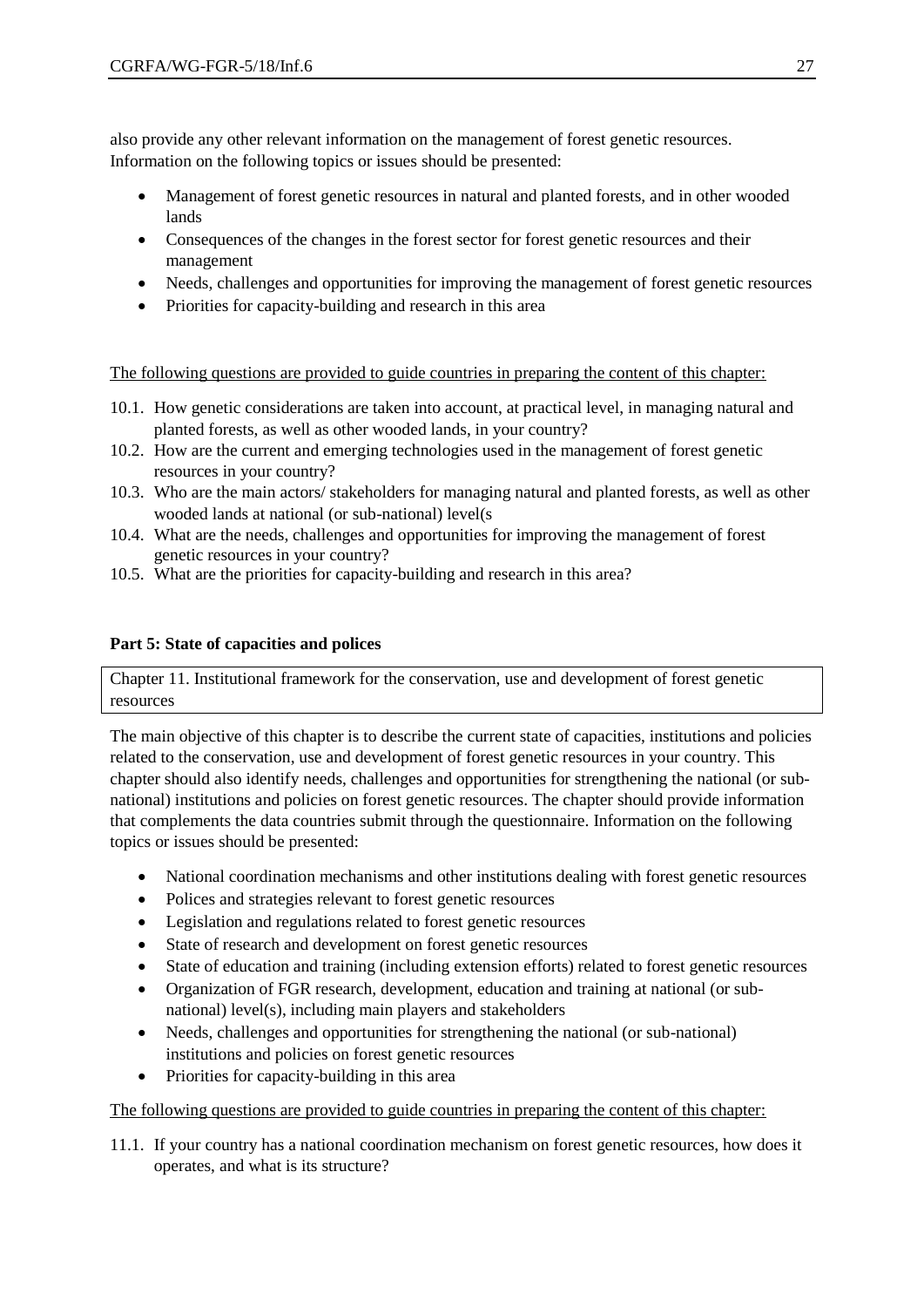also provide any other relevant information on the management of forest genetic resources. Information on the following topics or issues should be presented:

- Management of forest genetic resources in natural and planted forests, and in other wooded lands
- Consequences of the changes in the forest sector for forest genetic resources and their management
- Needs, challenges and opportunities for improving the management of forest genetic resources
- Priorities for capacity-building and research in this area

The following questions are provided to guide countries in preparing the content of this chapter:

- 10.1. How genetic considerations are taken into account, at practical level, in managing natural and planted forests, as well as other wooded lands, in your country?
- 10.2. How are the current and emerging technologies used in the management of forest genetic resources in your country?
- 10.3. Who are the main actors/ stakeholders for managing natural and planted forests, as well as other wooded lands at national (or sub-national) level(s
- 10.4. What are the needs, challenges and opportunities for improving the management of forest genetic resources in your country?
- 10.5. What are the priorities for capacity-building and research in this area?

# **Part 5: State of capacities and polices**

Chapter 11. Institutional framework for the conservation, use and development of forest genetic resources

The main objective of this chapter is to describe the current state of capacities, institutions and policies related to the conservation, use and development of forest genetic resources in your country. This chapter should also identify needs, challenges and opportunities for strengthening the national (or subnational) institutions and policies on forest genetic resources. The chapter should provide information that complements the data countries submit through the questionnaire. Information on the following topics or issues should be presented:

- National coordination mechanisms and other institutions dealing with forest genetic resources
- Polices and strategies relevant to forest genetic resources
- Legislation and regulations related to forest genetic resources
- State of research and development on forest genetic resources
- State of education and training (including extension efforts) related to forest genetic resources
- Organization of FGR research, development, education and training at national (or subnational) level(s), including main players and stakeholders
- Needs, challenges and opportunities for strengthening the national (or sub-national) institutions and policies on forest genetic resources
- Priorities for capacity-building in this area

## The following questions are provided to guide countries in preparing the content of this chapter:

11.1. If your country has a national coordination mechanism on forest genetic resources, how does it operates, and what is its structure?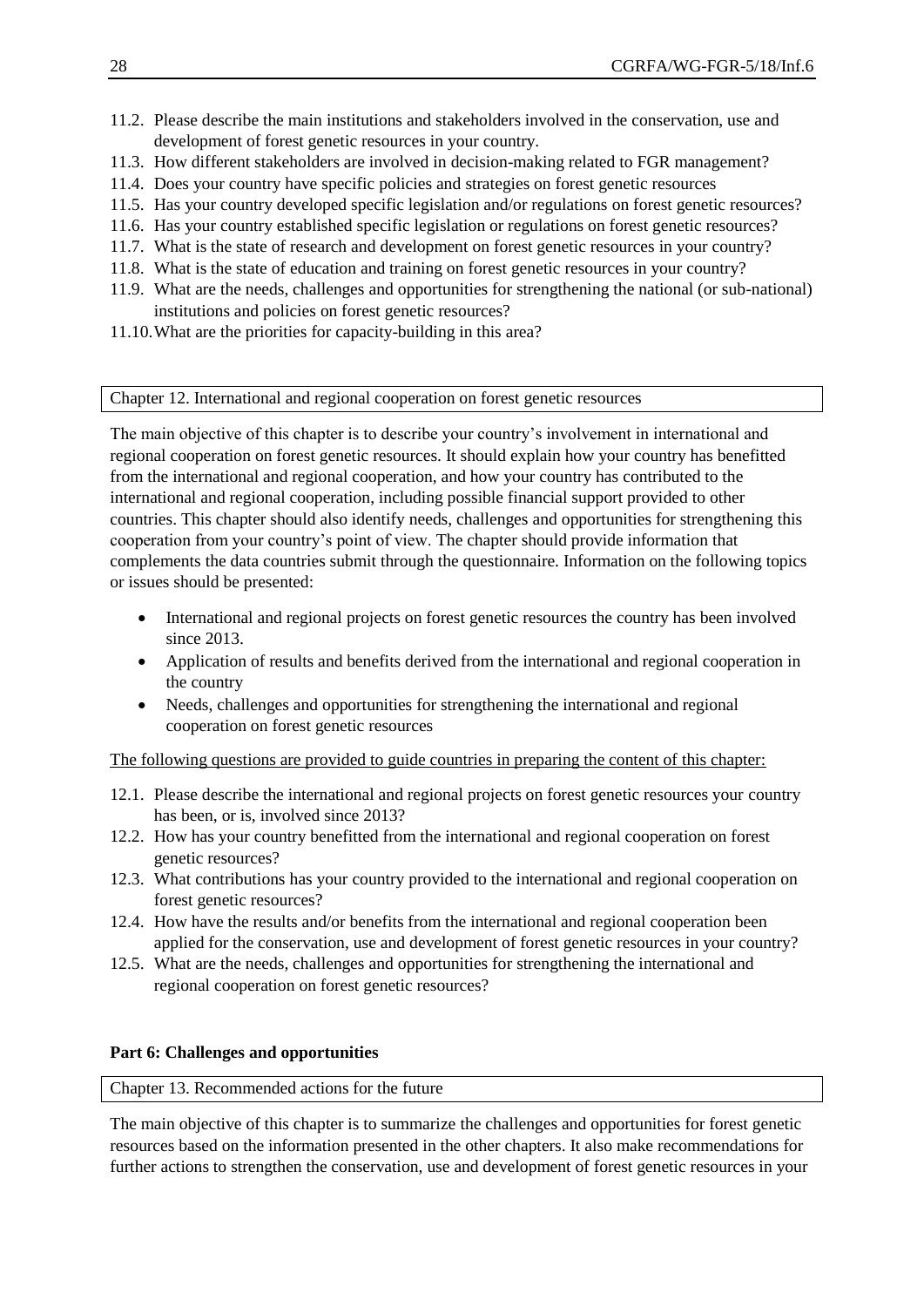- 11.2. Please describe the main institutions and stakeholders involved in the conservation, use and development of forest genetic resources in your country.
- 11.3. How different stakeholders are involved in decision-making related to FGR management?
- 11.4. Does your country have specific policies and strategies on forest genetic resources
- 11.5. Has your country developed specific legislation and/or regulations on forest genetic resources?
- 11.6. Has your country established specific legislation or regulations on forest genetic resources?
- 11.7. What is the state of research and development on forest genetic resources in your country?
- 11.8. What is the state of education and training on forest genetic resources in your country?
- 11.9. What are the needs, challenges and opportunities for strengthening the national (or sub-national) institutions and policies on forest genetic resources?
- 11.10.What are the priorities for capacity-building in this area?

Chapter 12. International and regional cooperation on forest genetic resources

The main objective of this chapter is to describe your country's involvement in international and regional cooperation on forest genetic resources. It should explain how your country has benefitted from the international and regional cooperation, and how your country has contributed to the international and regional cooperation, including possible financial support provided to other countries. This chapter should also identify needs, challenges and opportunities for strengthening this cooperation from your country's point of view. The chapter should provide information that complements the data countries submit through the questionnaire. Information on the following topics or issues should be presented:

- International and regional projects on forest genetic resources the country has been involved since 2013.
- Application of results and benefits derived from the international and regional cooperation in the country
- Needs, challenges and opportunities for strengthening the international and regional cooperation on forest genetic resources

The following questions are provided to guide countries in preparing the content of this chapter:

- 12.1. Please describe the international and regional projects on forest genetic resources your country has been, or is, involved since 2013?
- 12.2. How has your country benefitted from the international and regional cooperation on forest genetic resources?
- 12.3. What contributions has your country provided to the international and regional cooperation on forest genetic resources?
- 12.4. How have the results and/or benefits from the international and regional cooperation been applied for the conservation, use and development of forest genetic resources in your country?
- 12.5. What are the needs, challenges and opportunities for strengthening the international and regional cooperation on forest genetic resources?

## **Part 6: Challenges and opportunities**

## Chapter 13. Recommended actions for the future

The main objective of this chapter is to summarize the challenges and opportunities for forest genetic resources based on the information presented in the other chapters. It also make recommendations for further actions to strengthen the conservation, use and development of forest genetic resources in your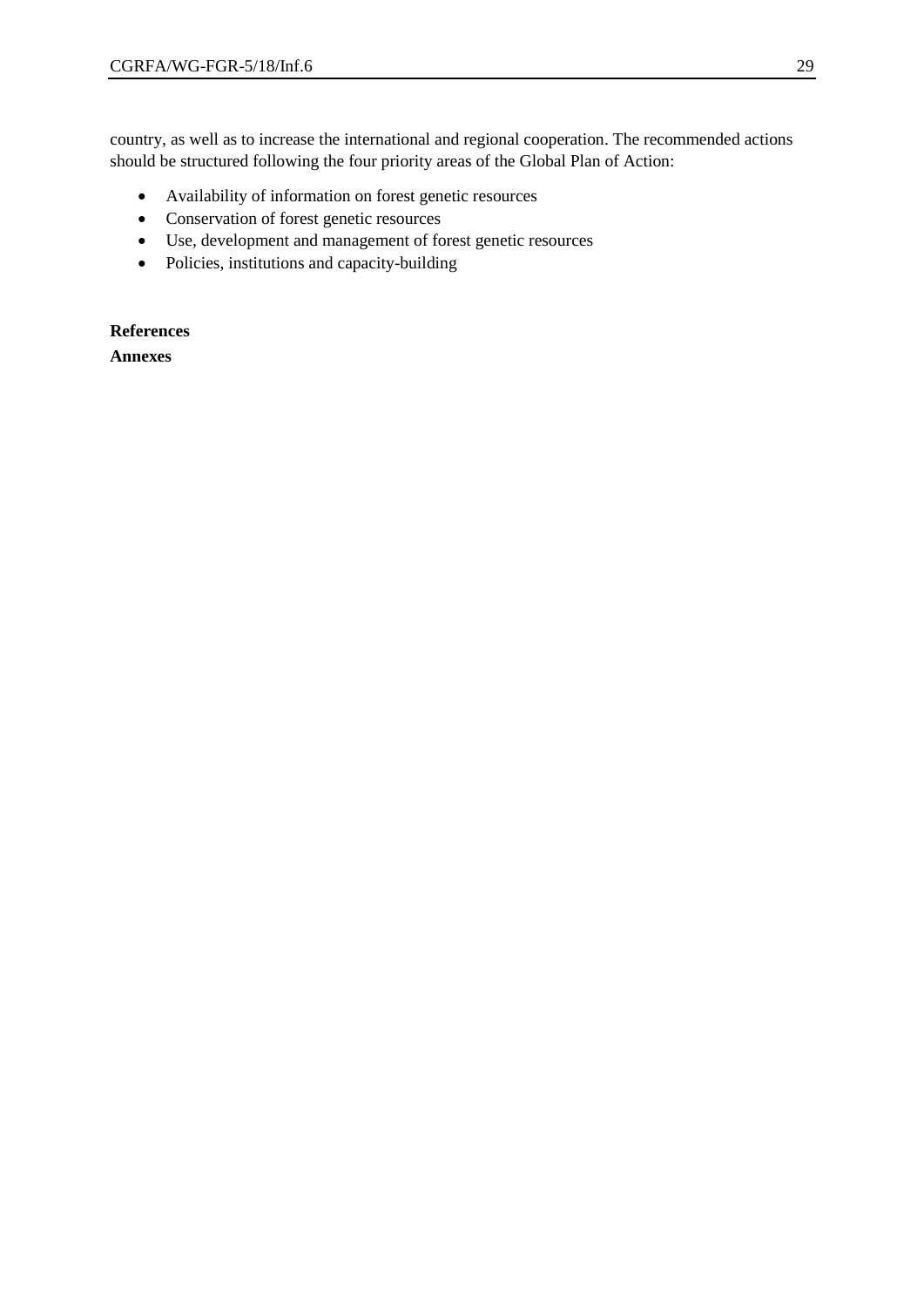country, as well as to increase the international and regional cooperation. The recommended actions should be structured following the four priority areas of the Global Plan of Action:

- Availability of information on forest genetic resources
- Conservation of forest genetic resources
- Use, development and management of forest genetic resources
- Policies, institutions and capacity-building

**References Annexes**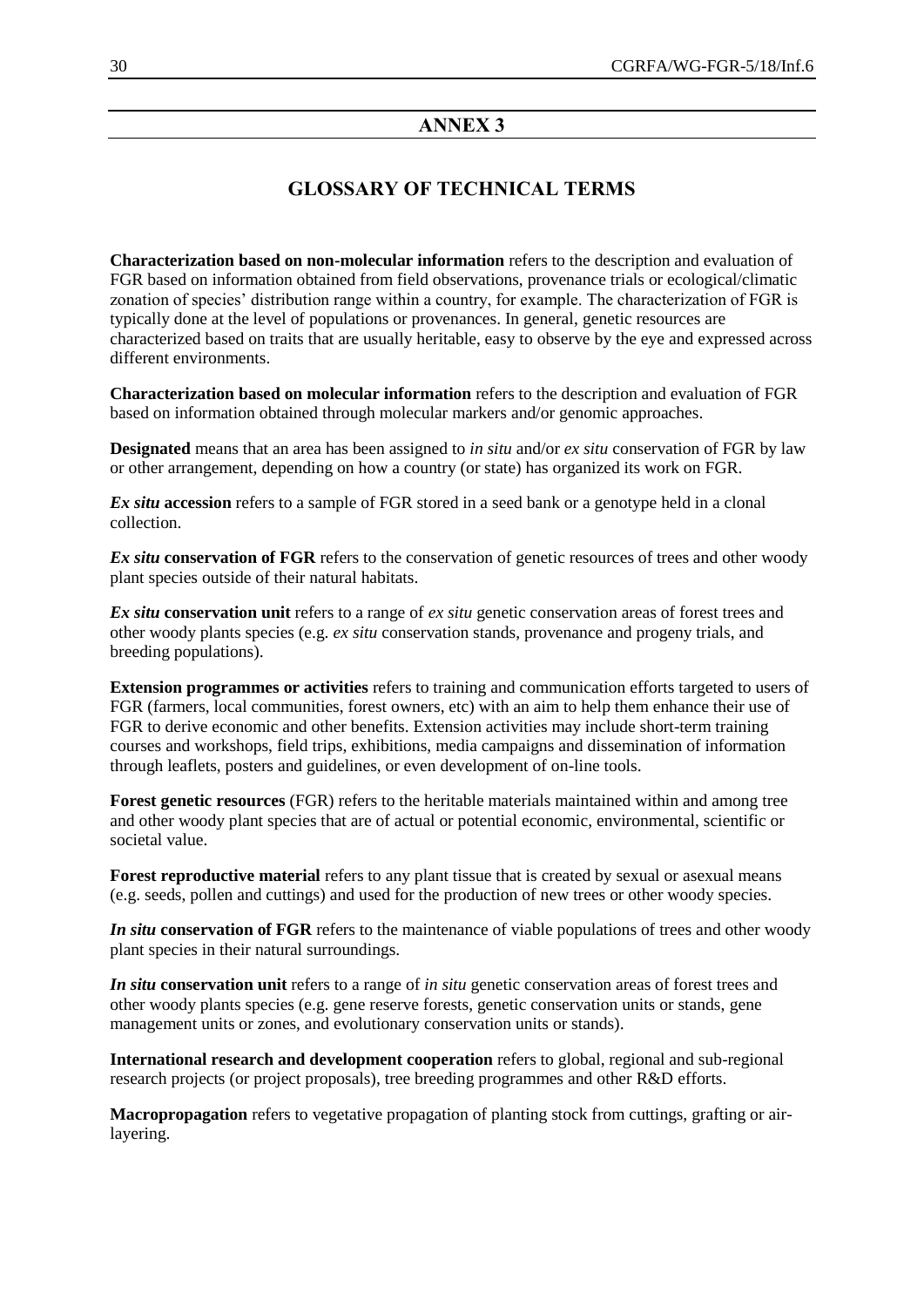# **ANNEX 3**

# **GLOSSARY OF TECHNICAL TERMS**

**Characterization based on non-molecular information** refers to the description and evaluation of FGR based on information obtained from field observations, provenance trials or ecological/climatic zonation of species' distribution range within a country, for example. The characterization of FGR is typically done at the level of populations or provenances. In general, genetic resources are characterized based on traits that are usually heritable, easy to observe by the eye and expressed across different environments.

**Characterization based on molecular information** refers to the description and evaluation of FGR based on information obtained through molecular markers and/or genomic approaches.

**Designated** means that an area has been assigned to *in situ* and/or *ex situ* conservation of FGR by law or other arrangement, depending on how a country (or state) has organized its work on FGR.

*Ex situ* **accession** refers to a sample of FGR stored in a seed bank or a genotype held in a clonal collection.

*Ex situ* **conservation of FGR** refers to the conservation of genetic resources of trees and other woody plant species outside of their natural habitats.

*Ex situ* **conservation unit** refers to a range of *ex situ* genetic conservation areas of forest trees and other woody plants species (e.g. *ex situ* conservation stands, provenance and progeny trials, and breeding populations).

**Extension programmes or activities** refers to training and communication efforts targeted to users of FGR (farmers, local communities, forest owners, etc) with an aim to help them enhance their use of FGR to derive economic and other benefits. Extension activities may include short-term training courses and workshops, field trips, exhibitions, media campaigns and dissemination of information through leaflets, posters and guidelines, or even development of on-line tools.

**Forest genetic resources** (FGR) refers to the heritable materials maintained within and among tree and other woody plant species that are of actual or potential economic, environmental, scientific or societal value.

**Forest reproductive material** refers to any plant tissue that is created by sexual or asexual means (e.g. seeds, pollen and cuttings) and used for the production of new trees or other woody species.

*In situ* **conservation of FGR** refers to the maintenance of viable populations of trees and other woody plant species in their natural surroundings.

*In situ* **conservation unit** refers to a range of *in situ* genetic conservation areas of forest trees and other woody plants species (e.g. gene reserve forests, genetic conservation units or stands, gene management units or zones, and evolutionary conservation units or stands).

**International research and development cooperation** refers to global, regional and sub-regional research projects (or project proposals), tree breeding programmes and other R&D efforts.

**Macropropagation** refers to vegetative propagation of planting stock from cuttings, grafting or airlayering.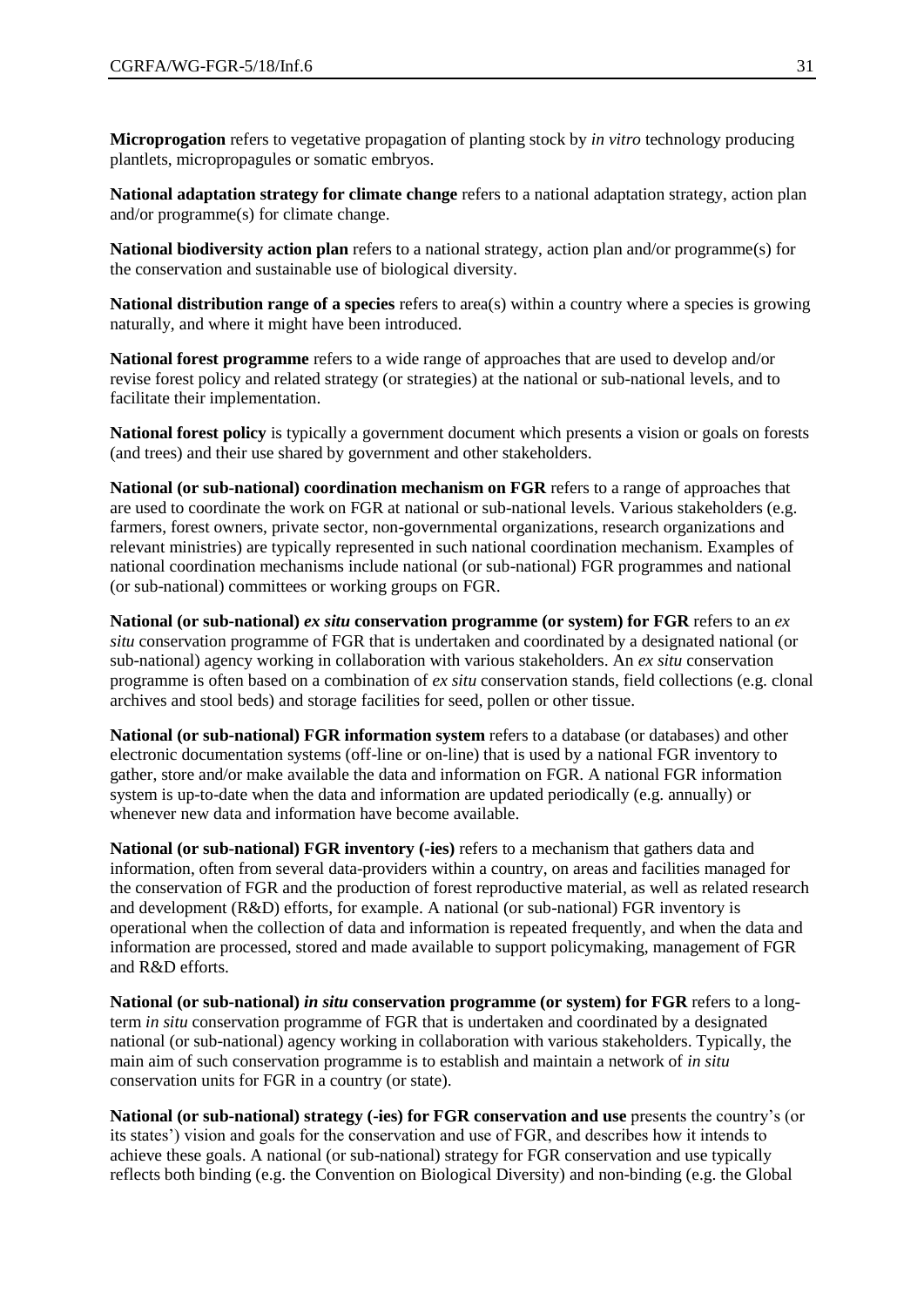**Microprogation** refers to vegetative propagation of planting stock by *in vitro* technology producing plantlets, micropropagules or somatic embryos.

**National adaptation strategy for climate change** refers to a national adaptation strategy, action plan and/or programme(s) for climate change.

**National biodiversity action plan** refers to a national strategy, action plan and/or programme(s) for the conservation and sustainable use of biological diversity.

**National distribution range of a species** refers to area(s) within a country where a species is growing naturally, and where it might have been introduced.

**National forest programme** refers to a wide range of approaches that are used to develop and/or revise forest policy and related strategy (or strategies) at the national or sub-national levels, and to facilitate their implementation.

**National forest policy** is typically a government document which presents a vision or goals on forests (and trees) and their use shared by government and other stakeholders.

**National (or sub-national) coordination mechanism on FGR** refers to a range of approaches that are used to coordinate the work on FGR at national or sub-national levels. Various stakeholders (e.g. farmers, forest owners, private sector, non-governmental organizations, research organizations and relevant ministries) are typically represented in such national coordination mechanism. Examples of national coordination mechanisms include national (or sub-national) FGR programmes and national (or sub-national) committees or working groups on FGR.

**National (or sub-national)** *ex situ* **conservation programme (or system) for FGR** refers to an *ex situ* conservation programme of FGR that is undertaken and coordinated by a designated national (or sub-national) agency working in collaboration with various stakeholders. An *ex situ* conservation programme is often based on a combination of *ex situ* conservation stands, field collections (e.g. clonal archives and stool beds) and storage facilities for seed, pollen or other tissue.

**National (or sub-national) FGR information system** refers to a database (or databases) and other electronic documentation systems (off-line or on-line) that is used by a national FGR inventory to gather, store and/or make available the data and information on FGR. A national FGR information system is up-to-date when the data and information are updated periodically (e.g. annually) or whenever new data and information have become available.

**National (or sub-national) FGR inventory (-ies)** refers to a mechanism that gathers data and information, often from several data-providers within a country, on areas and facilities managed for the conservation of FGR and the production of forest reproductive material, as well as related research and development (R&D) efforts, for example. A national (or sub-national) FGR inventory is operational when the collection of data and information is repeated frequently, and when the data and information are processed, stored and made available to support policymaking, management of FGR and R&D efforts.

**National (or sub-national)** *in situ* **conservation programme (or system) for FGR** refers to a longterm *in situ* conservation programme of FGR that is undertaken and coordinated by a designated national (or sub-national) agency working in collaboration with various stakeholders. Typically, the main aim of such conservation programme is to establish and maintain a network of *in situ* conservation units for FGR in a country (or state).

**National (or sub-national) strategy (-ies) for FGR conservation and use** presents the country's (or its states') vision and goals for the conservation and use of FGR, and describes how it intends to achieve these goals. A national (or sub-national) strategy for FGR conservation and use typically reflects both binding (e.g. the Convention on Biological Diversity) and non-binding (e.g. the Global